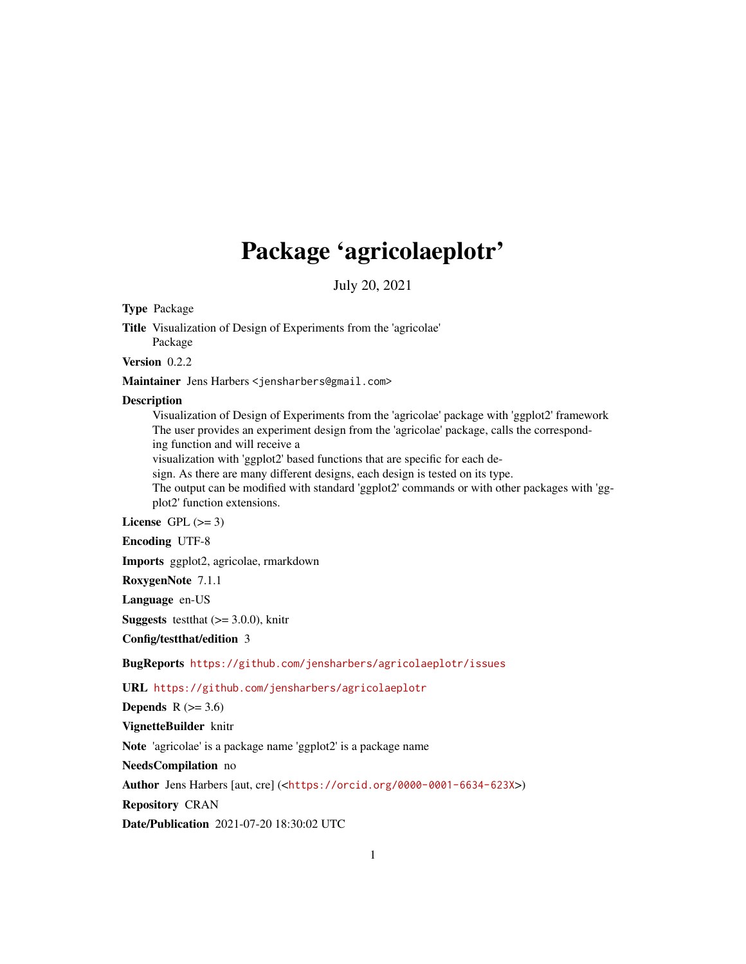# Package 'agricolaeplotr'

July 20, 2021

Type Package

Title Visualization of Design of Experiments from the 'agricolae' Package

Version 0.2.2

Maintainer Jens Harbers <jensharbers@gmail.com>

#### **Description**

Visualization of Design of Experiments from the 'agricolae' package with 'ggplot2' framework The user provides an experiment design from the 'agricolae' package, calls the corresponding function and will receive a

visualization with 'ggplot2' based functions that are specific for each de-

sign. As there are many different designs, each design is tested on its type.

The output can be modified with standard 'ggplot2' commands or with other packages with 'ggplot2' function extensions.

License GPL  $(>= 3)$ 

Encoding UTF-8

Imports ggplot2, agricolae, rmarkdown

RoxygenNote 7.1.1

Language en-US

**Suggests** test that  $(>= 3.0.0)$ , knitr

Config/testthat/edition 3

BugReports <https://github.com/jensharbers/agricolaeplotr/issues>

URL <https://github.com/jensharbers/agricolaeplotr>

Depends  $R$  ( $>= 3.6$ )

VignetteBuilder knitr

Note 'agricolae' is a package name 'ggplot2' is a package name

NeedsCompilation no

Author Jens Harbers [aut, cre] (<<https://orcid.org/0000-0001-6634-623X>>)

Repository CRAN

Date/Publication 2021-07-20 18:30:02 UTC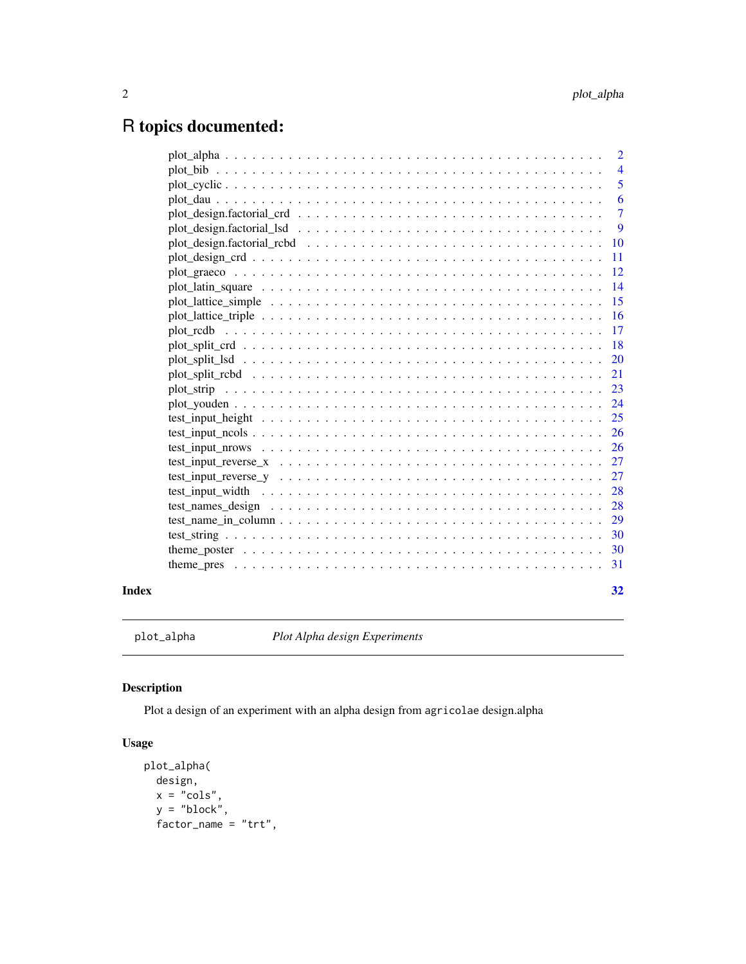# <span id="page-1-0"></span>R topics documented:

|       |                                                                                                                  | $\overline{2}$ |
|-------|------------------------------------------------------------------------------------------------------------------|----------------|
|       |                                                                                                                  | $\overline{4}$ |
|       |                                                                                                                  | 5              |
|       |                                                                                                                  | 6              |
|       | $plot\_design.factorial\_crd \ldots \ldots \ldots \ldots \ldots \ldots \ldots \ldots \ldots \ldots$              | $\overline{7}$ |
|       |                                                                                                                  | 9              |
|       | plot design.factorial rcbd $\ldots \ldots \ldots \ldots \ldots \ldots \ldots \ldots \ldots \ldots \ldots \ldots$ | 10             |
|       |                                                                                                                  | 11             |
|       |                                                                                                                  | 12             |
|       |                                                                                                                  | 14             |
|       |                                                                                                                  | 15             |
|       |                                                                                                                  | 16             |
|       |                                                                                                                  | 17             |
|       |                                                                                                                  | 18             |
|       |                                                                                                                  | 20             |
|       |                                                                                                                  | 21             |
|       |                                                                                                                  | 23             |
|       |                                                                                                                  | 24             |
|       | test input height $\ldots \ldots \ldots \ldots \ldots \ldots \ldots \ldots \ldots \ldots \ldots \ldots \ldots$   | 25             |
|       |                                                                                                                  | 26             |
|       |                                                                                                                  | 26             |
|       |                                                                                                                  | 27             |
|       |                                                                                                                  | 27             |
|       | test input width $\ldots \ldots \ldots \ldots \ldots \ldots \ldots \ldots \ldots \ldots \ldots \ldots \ldots$    | 28             |
|       |                                                                                                                  | 28             |
|       |                                                                                                                  | 29             |
|       |                                                                                                                  | 30             |
|       |                                                                                                                  | 30             |
|       |                                                                                                                  | 31             |
| Index |                                                                                                                  | 32             |

plot\_alpha *Plot Alpha design Experiments*

# Description

Plot a design of an experiment with an alpha design from agricolae design.alpha

# Usage

```
plot_alpha(
 design,
 x = "cols",y = "block",factor_name = "trt",
```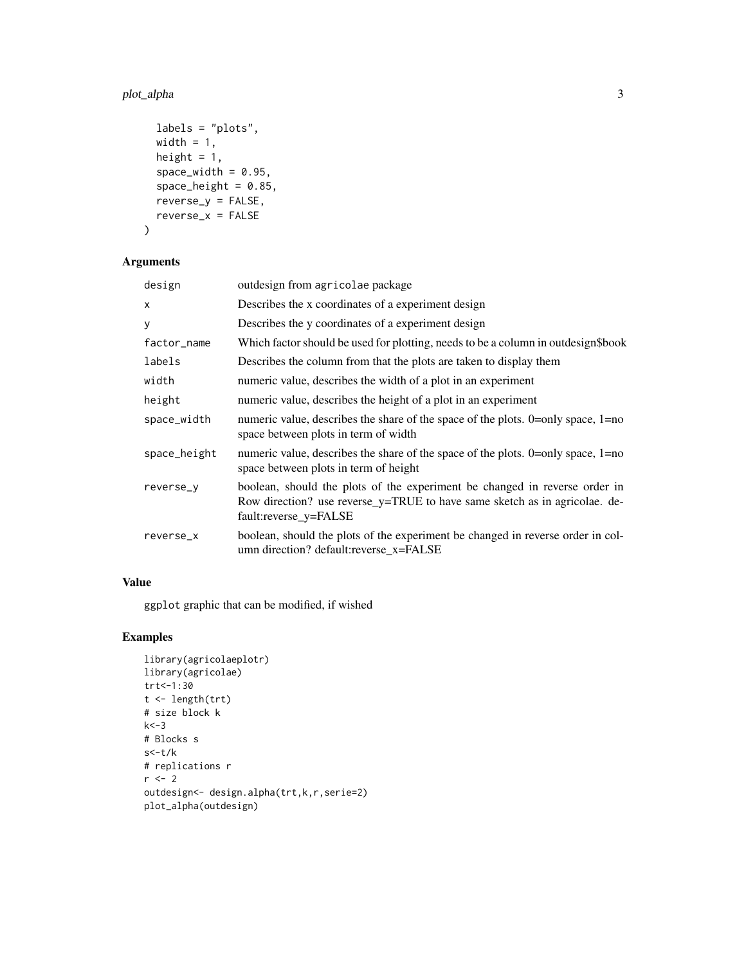# plot\_alpha 3

```
labels = "plots",
  width = 1,
  height = 1,
  space\_width = 0.95,
  space\_height = 0.85,
  reverse_y = FALSE,
  reverse_x = FALSE
\mathcal{L}
```
# Arguments

| design       | outdesign from agricolae package                                                                                                                                                  |
|--------------|-----------------------------------------------------------------------------------------------------------------------------------------------------------------------------------|
| X            | Describes the x coordinates of a experiment design                                                                                                                                |
| У            | Describes the y coordinates of a experiment design                                                                                                                                |
| factor_name  | Which factor should be used for plotting, needs to be a column in outdesign\$book                                                                                                 |
| labels       | Describes the column from that the plots are taken to display them                                                                                                                |
| width        | numeric value, describes the width of a plot in an experiment                                                                                                                     |
| height       | numeric value, describes the height of a plot in an experiment                                                                                                                    |
| space_width  | numeric value, describes the share of the space of the plots. 0=only space, 1=no<br>space between plots in term of width                                                          |
| space_height | numeric value, describes the share of the space of the plots. 0=only space, 1=no<br>space between plots in term of height                                                         |
| reverse_y    | boolean, should the plots of the experiment be changed in reverse order in<br>Row direction? use reverse_y=TRUE to have same sketch as in agricolae. de-<br>fault:reverse_y=FALSE |
| reverse_x    | boolean, should the plots of the experiment be changed in reverse order in col-<br>umn direction? default:reverse_x=FALSE                                                         |

# Value

ggplot graphic that can be modified, if wished

```
library(agricolaeplotr)
library(agricolae)
trt<-1:30
t <- length(trt)
# size block k
k < -3# Blocks s
s<-t/k# replications r
r < -2outdesign<- design.alpha(trt,k,r,serie=2)
plot_alpha(outdesign)
```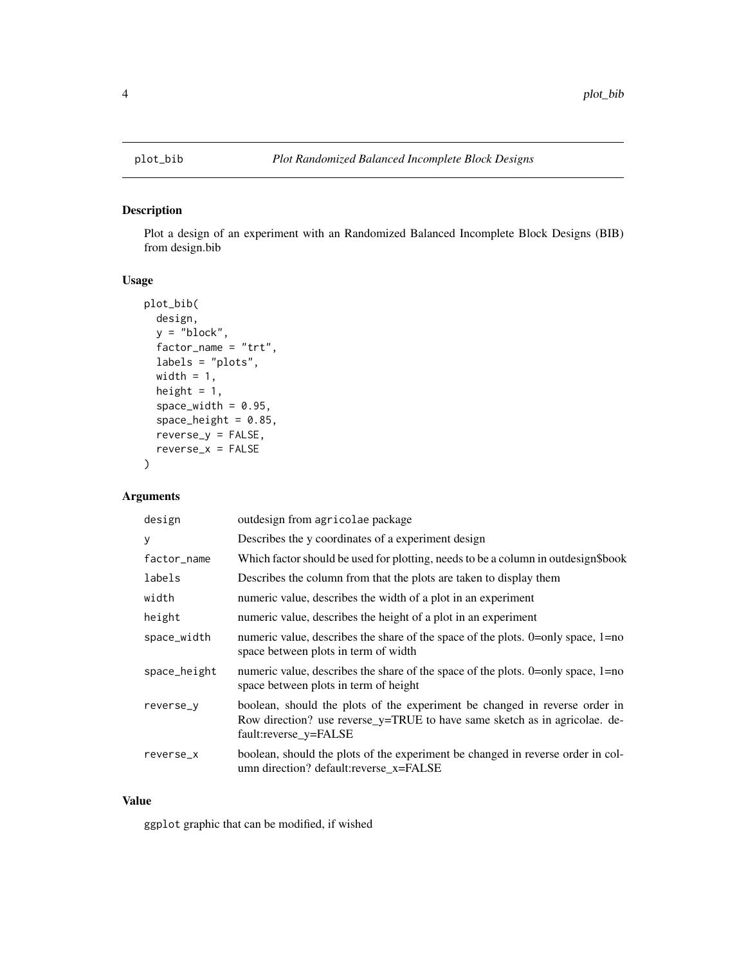<span id="page-3-0"></span>

# Description

Plot a design of an experiment with an Randomized Balanced Incomplete Block Designs (BIB) from design.bib

# Usage

```
plot_bib(
 design,
 y = "block",factor_name = "trt",
  labels = "plots",
 width = 1,
  height = 1,
  space\_width = 0.95,
  space\_height = 0.85,
  reverse_y = FALSE,
  reverse_x = FALSE
\mathcal{L}
```
# Arguments

| design       | outdesign from agricolae package                                                                                                                                                  |
|--------------|-----------------------------------------------------------------------------------------------------------------------------------------------------------------------------------|
| y            | Describes the y coordinates of a experiment design                                                                                                                                |
| factor_name  | Which factor should be used for plotting, needs to be a column in outdesign\$book                                                                                                 |
| labels       | Describes the column from that the plots are taken to display them                                                                                                                |
| width        | numeric value, describes the width of a plot in an experiment                                                                                                                     |
| height       | numeric value, describes the height of a plot in an experiment                                                                                                                    |
| space_width  | numeric value, describes the share of the space of the plots. 0=only space, 1=no<br>space between plots in term of width                                                          |
| space_height | numeric value, describes the share of the space of the plots. 0=only space, 1=no<br>space between plots in term of height                                                         |
| reverse_y    | boolean, should the plots of the experiment be changed in reverse order in<br>Row direction? use reverse_y=TRUE to have same sketch as in agricolae. de-<br>fault:reverse_y=FALSE |
| reverse_x    | boolean, should the plots of the experiment be changed in reverse order in col-<br>umn direction? default:reverse_x=FALSE                                                         |

# Value

ggplot graphic that can be modified, if wished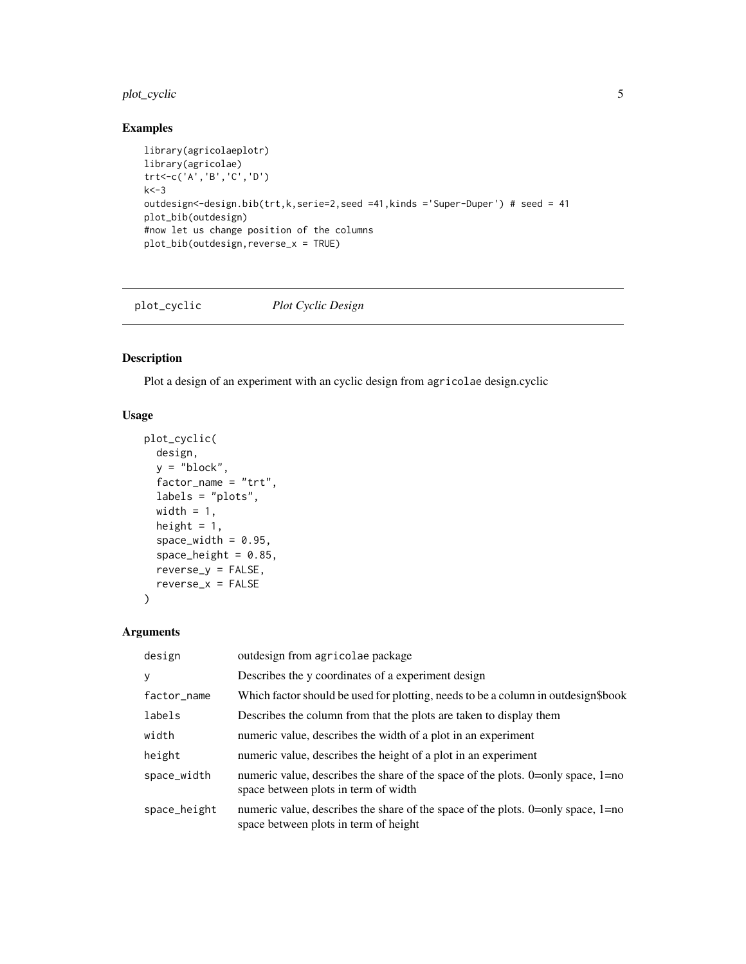# <span id="page-4-0"></span>plot\_cyclic 5

# Examples

```
library(agricolaeplotr)
library(agricolae)
trt<-c('A','B','C','D')
k < -3outdesign<-design.bib(trt,k,serie=2,seed =41,kinds ='Super-Duper') # seed = 41
plot_bib(outdesign)
#now let us change position of the columns
plot_bib(outdesign,reverse_x = TRUE)
```
plot\_cyclic *Plot Cyclic Design*

#### Description

Plot a design of an experiment with an cyclic design from agricolae design.cyclic

# Usage

```
plot_cyclic(
  design,
 y = "block",factor_name = "trt",labels = "plots",width = 1,
 height = 1,
  space\_width = 0.95,
  space\_height = 0.85,
 reverse_y = FALSE,
  reverse_x = FALSE
)
```

| design       | outdesign from agricolae package                                                                                                |
|--------------|---------------------------------------------------------------------------------------------------------------------------------|
| y            | Describes the y coordinates of a experiment design                                                                              |
| factor_name  | Which factor should be used for plotting, needs to be a column in outdesign\$book                                               |
| labels       | Describes the column from that the plots are taken to display them                                                              |
| width        | numeric value, describes the width of a plot in an experiment                                                                   |
| height       | numeric value, describes the height of a plot in an experiment                                                                  |
| space_width  | numeric value, describes the share of the space of the plots. $0=$ only space, $1=$ no<br>space between plots in term of width  |
| space_height | numeric value, describes the share of the space of the plots. $0=$ only space, $1=$ no<br>space between plots in term of height |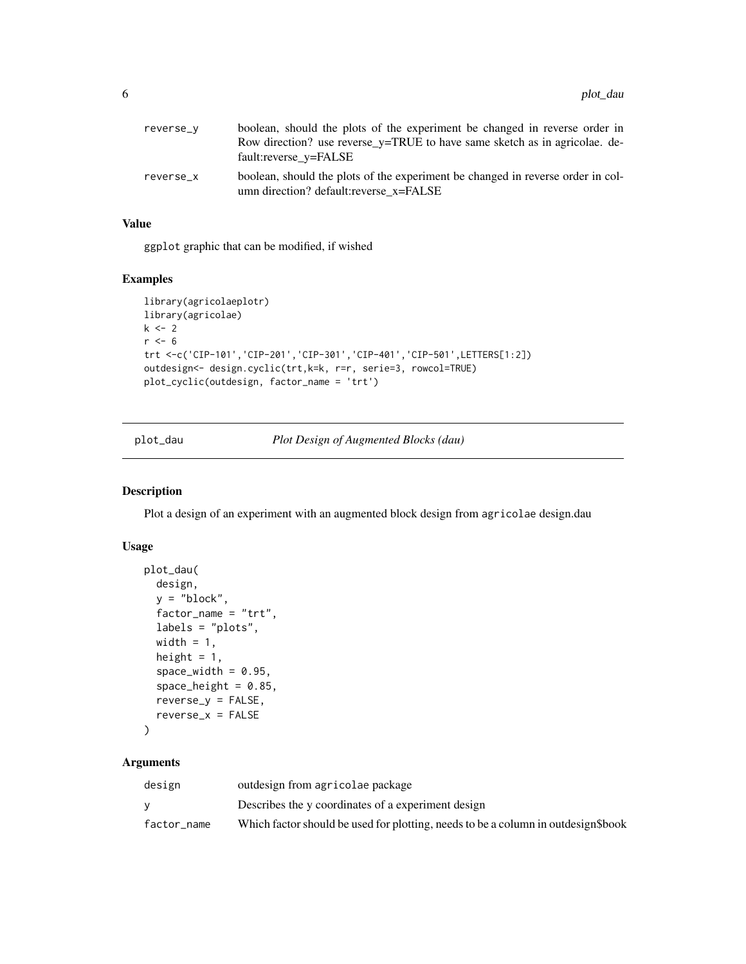<span id="page-5-0"></span>

| reverse_v | boolean, should the plots of the experiment be changed in reverse order in                                                 |
|-----------|----------------------------------------------------------------------------------------------------------------------------|
|           | Row direction? use reverse $v=TRUE$ to have same sketch as in agricolae. de-                                               |
|           | fault:reverse_y=FALSE                                                                                                      |
| reverse x | boolean, should the plots of the experiment be changed in reverse order in col-<br>umn direction? default: reverse x=FALSE |

ggplot graphic that can be modified, if wished

#### Examples

```
library(agricolaeplotr)
library(agricolae)
k \leq -2r <- 6trt <-c('CIP-101','CIP-201','CIP-301','CIP-401','CIP-501',LETTERS[1:2])
outdesign<- design.cyclic(trt,k=k, r=r, serie=3, rowcol=TRUE)
plot_cyclic(outdesign, factor_name = 'trt')
```
plot\_dau *Plot Design of Augmented Blocks (dau)*

#### Description

Plot a design of an experiment with an augmented block design from agricolae design.dau

#### Usage

```
plot_dau(
  design,
  y = "block",factor_name = "trt",
  labels = "plots",
  width = 1,
 height = 1,
  space\_width = 0.95,
  space\_height = 0.85,
  reverse_y = FALSE,
  reverse_x = FALSE
)
```

| design      | outdesign from agricolae package                                                  |
|-------------|-----------------------------------------------------------------------------------|
|             | Describes the y coordinates of a experiment design                                |
| factor name | Which factor should be used for plotting, needs to be a column in outdesign\$book |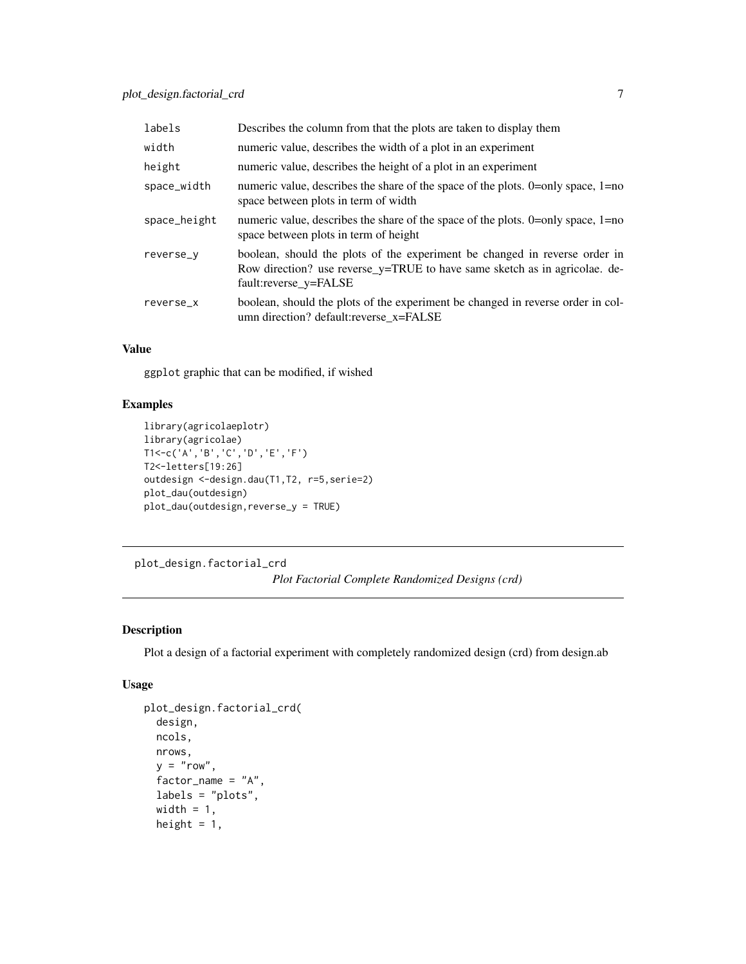<span id="page-6-0"></span>

| labels       | Describes the column from that the plots are taken to display them                                                                                                                |
|--------------|-----------------------------------------------------------------------------------------------------------------------------------------------------------------------------------|
| width        | numeric value, describes the width of a plot in an experiment                                                                                                                     |
| height       | numeric value, describes the height of a plot in an experiment                                                                                                                    |
| space_width  | numeric value, describes the share of the space of the plots. 0=only space, 1=no<br>space between plots in term of width                                                          |
| space_height | numeric value, describes the share of the space of the plots. $0=$ only space, $1=$ no<br>space between plots in term of height                                                   |
| reverse_v    | boolean, should the plots of the experiment be changed in reverse order in<br>Row direction? use reverse_y=TRUE to have same sketch as in agricolae. de-<br>fault:reverse_y=FALSE |
| reverse_x    | boolean, should the plots of the experiment be changed in reverse order in col-<br>umn direction? default:reverse_x=FALSE                                                         |

ggplot graphic that can be modified, if wished

# Examples

```
library(agricolaeplotr)
library(agricolae)
T1<-c('A','B','C','D','E','F')
T2<-letters[19:26]
outdesign <-design.dau(T1,T2, r=5,serie=2)
plot_dau(outdesign)
plot_dau(outdesign,reverse_y = TRUE)
```
plot\_design.factorial\_crd *Plot Factorial Complete Randomized Designs (crd)*

# Description

Plot a design of a factorial experiment with completely randomized design (crd) from design.ab

# Usage

```
plot_design.factorial_crd(
  design,
  ncols,
  nrows,
  y = "row",factor_name = "A",labels = "plots",
  width = 1,
  height = 1,
```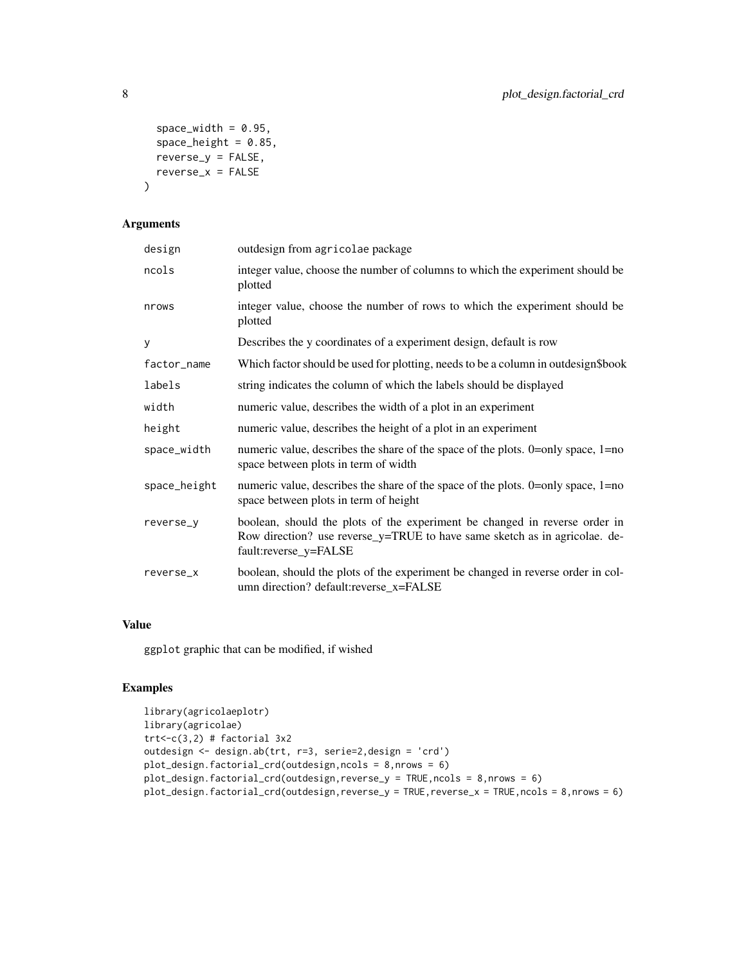```
space\_width = 0.95,
  space\_height = 0.85,
 reverse_y = FALSE,
 reverse_x = FALSE
)
```
# Arguments

| design       | outdesign from agricolae package                                                                                                                                                  |
|--------------|-----------------------------------------------------------------------------------------------------------------------------------------------------------------------------------|
| ncols        | integer value, choose the number of columns to which the experiment should be<br>plotted                                                                                          |
| nrows        | integer value, choose the number of rows to which the experiment should be<br>plotted                                                                                             |
| y            | Describes the y coordinates of a experiment design, default is row                                                                                                                |
| factor_name  | Which factor should be used for plotting, needs to be a column in outdesign\$book                                                                                                 |
| labels       | string indicates the column of which the labels should be displayed                                                                                                               |
| width        | numeric value, describes the width of a plot in an experiment                                                                                                                     |
| height       | numeric value, describes the height of a plot in an experiment                                                                                                                    |
| space_width  | numeric value, describes the share of the space of the plots. 0=only space, 1=no<br>space between plots in term of width                                                          |
| space_height | numeric value, describes the share of the space of the plots. 0=only space, 1=no<br>space between plots in term of height                                                         |
| reverse_y    | boolean, should the plots of the experiment be changed in reverse order in<br>Row direction? use reverse_y=TRUE to have same sketch as in agricolae. de-<br>fault:reverse_y=FALSE |
| reverse_x    | boolean, should the plots of the experiment be changed in reverse order in col-<br>umn direction? default:reverse_x=FALSE                                                         |

# Value

ggplot graphic that can be modified, if wished

```
library(agricolaeplotr)
library(agricolae)
trt<-c(3,2) # factorial 3x2outdesign <- design.ab(trt, r=3, serie=2,design = 'crd')
plot_design.factorial_crd(outdesign,ncols = 8,nrows = 6)
plot_design.factorial_crd(outdesign,reverse_y = TRUE,ncols = 8,nrows = 6)
plot_design.factorial_crd(outdesign,reverse_y = TRUE,reverse_x = TRUE,ncols = 8,nrows = 6)
```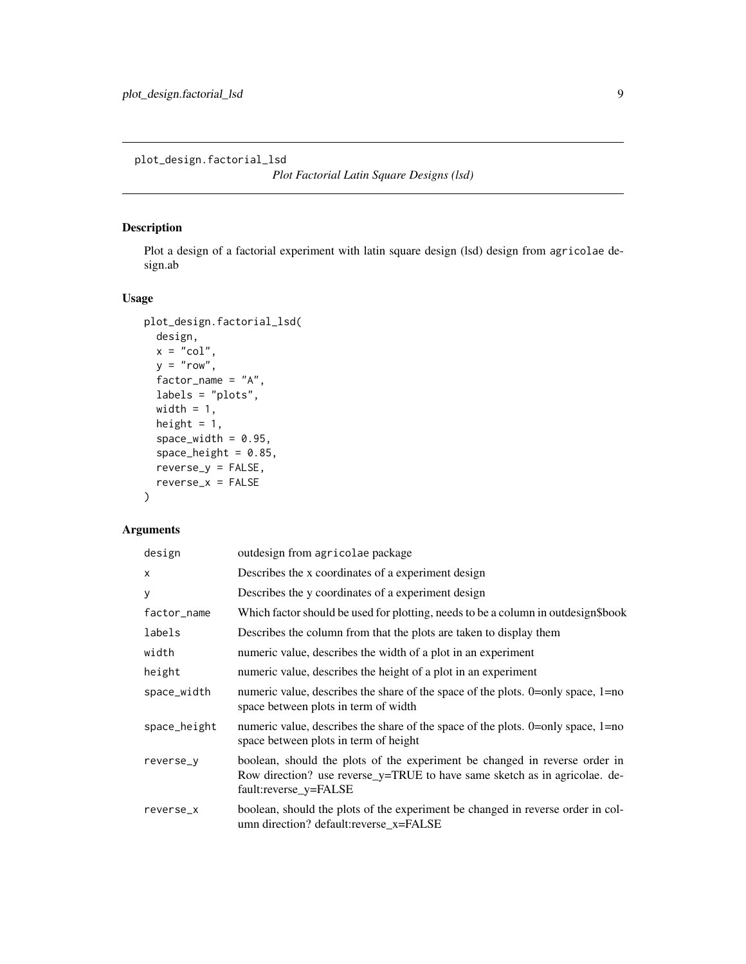<span id="page-8-0"></span>plot\_design.factorial\_lsd

*Plot Factorial Latin Square Designs (lsd)*

# Description

Plot a design of a factorial experiment with latin square design (lsd) design from agricolae design.ab

#### Usage

```
plot_design.factorial_lsd(
 design,
 x = "col",y = "row",factor_name = "A",
 labels = "plots",
 width = 1,
 height = 1,
 space\_width = 0.95,
  space\_height = 0.85,
 reverse_y = FALSE,
 reverse_x = FALSE)
```

| design       | outdesign from agricolae package                                                                                                                                                   |
|--------------|------------------------------------------------------------------------------------------------------------------------------------------------------------------------------------|
| $\mathsf{x}$ | Describes the x coordinates of a experiment design                                                                                                                                 |
| y            | Describes the y coordinates of a experiment design                                                                                                                                 |
| factor_name  | Which factor should be used for plotting, needs to be a column in outdesign\$book                                                                                                  |
| labels       | Describes the column from that the plots are taken to display them                                                                                                                 |
| width        | numeric value, describes the width of a plot in an experiment                                                                                                                      |
| height       | numeric value, describes the height of a plot in an experiment                                                                                                                     |
| space_width  | numeric value, describes the share of the space of the plots. 0=only space, 1=no<br>space between plots in term of width                                                           |
| space_height | numeric value, describes the share of the space of the plots. 0=only space, 1=no<br>space between plots in term of height                                                          |
| reverse_y    | boolean, should the plots of the experiment be changed in reverse order in<br>Row direction? use reverse_y=TRUE to have same sketch as in agricolae. de-<br>fault: reverse y=FALSE |
| reverse_x    | boolean, should the plots of the experiment be changed in reverse order in col-<br>umn direction? default: reverse x=FALSE                                                         |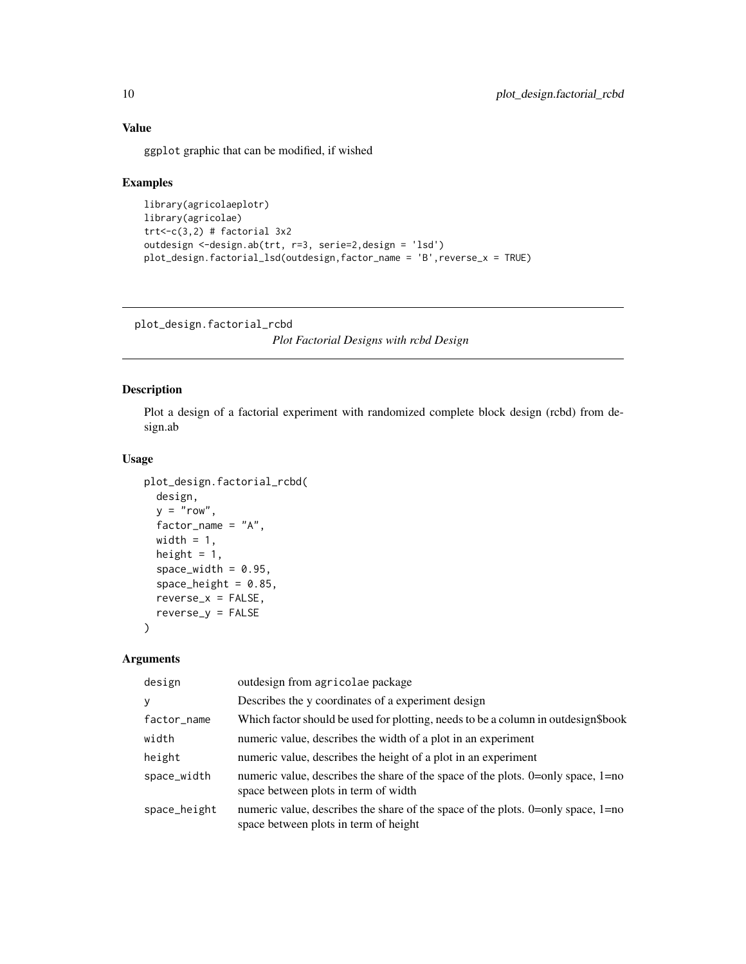ggplot graphic that can be modified, if wished

#### Examples

```
library(agricolaeplotr)
library(agricolae)
trt<-c(3,2) # factorial 3x2outdesign <-design.ab(trt, r=3, serie=2,design = 'lsd')
plot_design.factorial_lsd(outdesign,factor_name = 'B',reverse_x = TRUE)
```
plot\_design.factorial\_rcbd

*Plot Factorial Designs with rcbd Design*

# Description

Plot a design of a factorial experiment with randomized complete block design (rcbd) from design.ab

#### Usage

```
plot_design.factorial_rcbd(
  design,
  y = "row",factor_name = "A",width = 1,
  height = 1,
  space\_width = 0.95,
  space\_height = 0.85,
  reverse_x = FALSE,
  reverse_y = FALSE
\lambda
```

| design       | outdesign from agricolae package                                                                                          |
|--------------|---------------------------------------------------------------------------------------------------------------------------|
| y            | Describes the y coordinates of a experiment design                                                                        |
| factor_name  | Which factor should be used for plotting, needs to be a column in outdesign\$book                                         |
| width        | numeric value, describes the width of a plot in an experiment                                                             |
| height       | numeric value, describes the height of a plot in an experiment                                                            |
| space_width  | numeric value, describes the share of the space of the plots. 0=only space, 1=no<br>space between plots in term of width  |
| space_height | numeric value, describes the share of the space of the plots. 0=only space, 1=no<br>space between plots in term of height |

<span id="page-9-0"></span>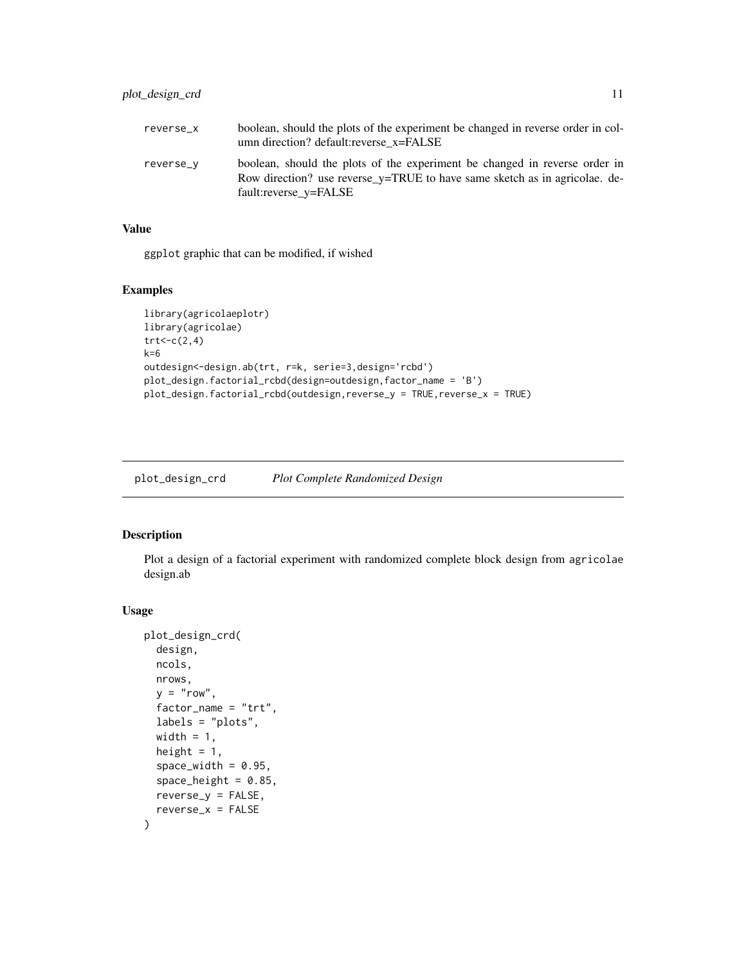<span id="page-10-0"></span>

| reverse x | boolean, should the plots of the experiment be changed in reverse order in col-<br>umn direction? default: reverse x=FALSE                                                          |
|-----------|-------------------------------------------------------------------------------------------------------------------------------------------------------------------------------------|
| reverse_v | boolean, should the plots of the experiment be changed in reverse order in<br>Row direction? use reverse $y=TRUE$ to have same sketch as in agricolae. de-<br>fault:reverse_y=FALSE |

ggplot graphic that can be modified, if wished

#### Examples

```
library(agricolaeplotr)
library(agricolae)
trt < -c(2, 4)k=6outdesign<-design.ab(trt, r=k, serie=3,design='rcbd')
plot_design.factorial_rcbd(design=outdesign,factor_name = 'B')
plot_design.factorial_rcbd(outdesign,reverse_y = TRUE,reverse_x = TRUE)
```
plot\_design\_crd *Plot Complete Randomized Design*

# Description

Plot a design of a factorial experiment with randomized complete block design from agricolae design.ab

#### Usage

```
plot_design_crd(
 design,
 ncols,
 nrows,
 y = "row",factor_name = "trt",
  labels = "plots",
 width = 1,
 height = 1,
  space\_width = 0.95,
  space\_height = 0.85,
 reverse_y = FALSE,
  reverse_x = FALSE
)
```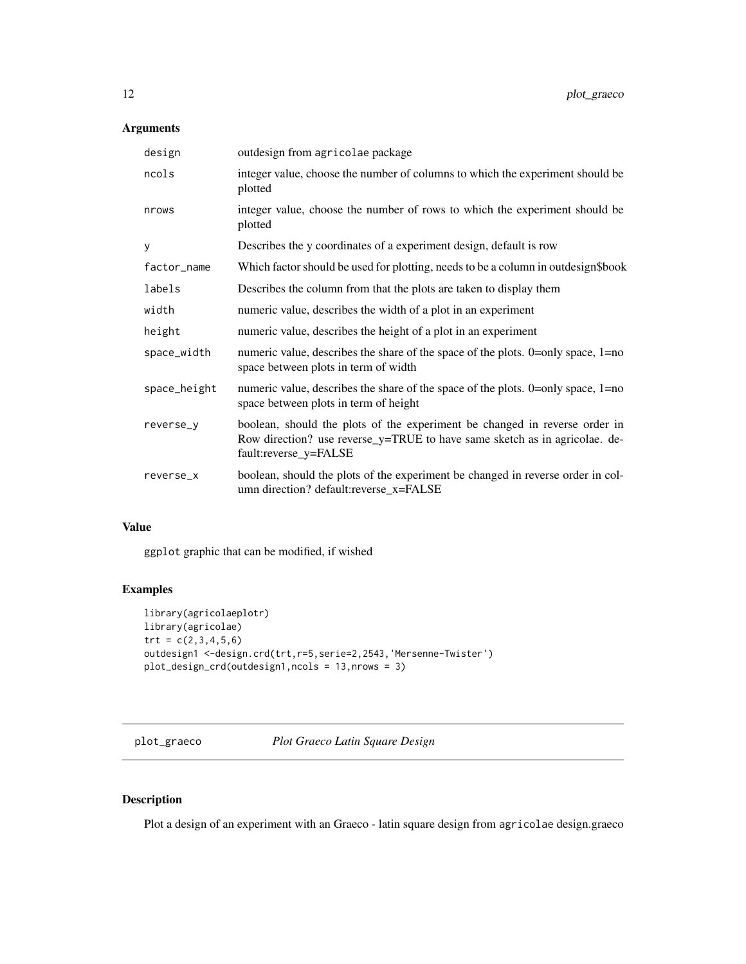# <span id="page-11-0"></span>Arguments

| design       | outdesign from agricolae package                                                                                                                                                  |
|--------------|-----------------------------------------------------------------------------------------------------------------------------------------------------------------------------------|
| ncols        | integer value, choose the number of columns to which the experiment should be<br>plotted                                                                                          |
| nrows        | integer value, choose the number of rows to which the experiment should be<br>plotted                                                                                             |
| У            | Describes the y coordinates of a experiment design, default is row                                                                                                                |
| factor_name  | Which factor should be used for plotting, needs to be a column in outdesign\$book                                                                                                 |
| labels       | Describes the column from that the plots are taken to display them                                                                                                                |
| width        | numeric value, describes the width of a plot in an experiment                                                                                                                     |
| height       | numeric value, describes the height of a plot in an experiment                                                                                                                    |
| space_width  | numeric value, describes the share of the space of the plots. 0=only space, 1=no<br>space between plots in term of width                                                          |
| space_height | numeric value, describes the share of the space of the plots. 0=only space, 1=no<br>space between plots in term of height                                                         |
| reverse_y    | boolean, should the plots of the experiment be changed in reverse order in<br>Row direction? use reverse_y=TRUE to have same sketch as in agricolae. de-<br>fault:reverse_y=FALSE |
| reverse_x    | boolean, should the plots of the experiment be changed in reverse order in col-<br>umn direction? default:reverse_x=FALSE                                                         |

#### Value

ggplot graphic that can be modified, if wished

# Examples

```
library(agricolaeplotr)
library(agricolae)
trt = c(2,3,4,5,6)outdesign1 <-design.crd(trt,r=5,serie=2,2543,'Mersenne-Twister')
plot_design_crd(outdesign1,ncols = 13,nrows = 3)
```
plot\_graeco *Plot Graeco Latin Square Design*

# Description

Plot a design of an experiment with an Graeco - latin square design from agricolae design.graeco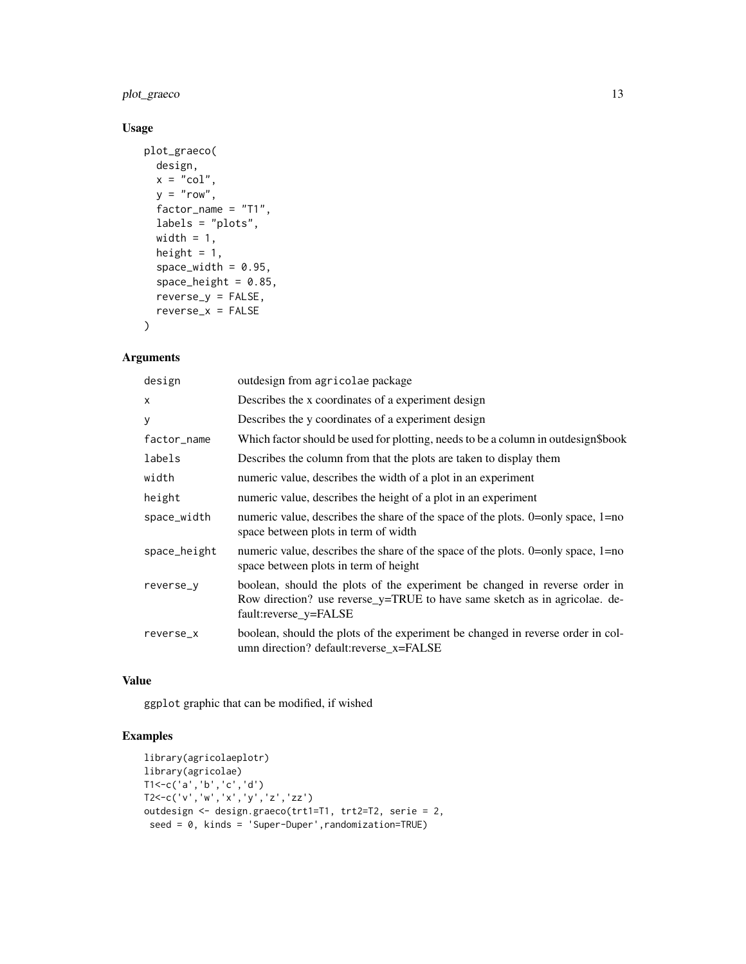# plot\_graeco 13

# Usage

```
plot_graeco(
 design,
  x = "col",y = "row",factor_name = "T1",
  labels = "plots",
 width = 1,
 height = 1,
  space\_width = 0.95,
  space\_height = 0.85,
  reverse_y = FALSE,
  reverse_x = FALSE
)
```
# Arguments

| design       | outdesign from agricolae package                                                                                                                                                  |
|--------------|-----------------------------------------------------------------------------------------------------------------------------------------------------------------------------------|
| X            | Describes the x coordinates of a experiment design                                                                                                                                |
| y            | Describes the y coordinates of a experiment design                                                                                                                                |
| factor_name  | Which factor should be used for plotting, needs to be a column in outdesign\$book                                                                                                 |
| labels       | Describes the column from that the plots are taken to display them                                                                                                                |
| width        | numeric value, describes the width of a plot in an experiment                                                                                                                     |
| height       | numeric value, describes the height of a plot in an experiment                                                                                                                    |
| space_width  | numeric value, describes the share of the space of the plots. 0=only space, 1=no<br>space between plots in term of width                                                          |
| space_height | numeric value, describes the share of the space of the plots. 0=only space, 1=no<br>space between plots in term of height                                                         |
| reverse_y    | boolean, should the plots of the experiment be changed in reverse order in<br>Row direction? use reverse_y=TRUE to have same sketch as in agricolae. de-<br>fault:reverse_y=FALSE |
| reverse_x    | boolean, should the plots of the experiment be changed in reverse order in col-<br>umn direction? default:reverse_x=FALSE                                                         |

# Value

ggplot graphic that can be modified, if wished

```
library(agricolaeplotr)
library(agricolae)
T1<-c('a','b','c','d')
T2<-c('v','w','x','y','z','zz')
outdesign <- design.graeco(trt1=T1, trt2=T2, serie = 2,
seed = 0, kinds = 'Super-Duper',randomization=TRUE)
```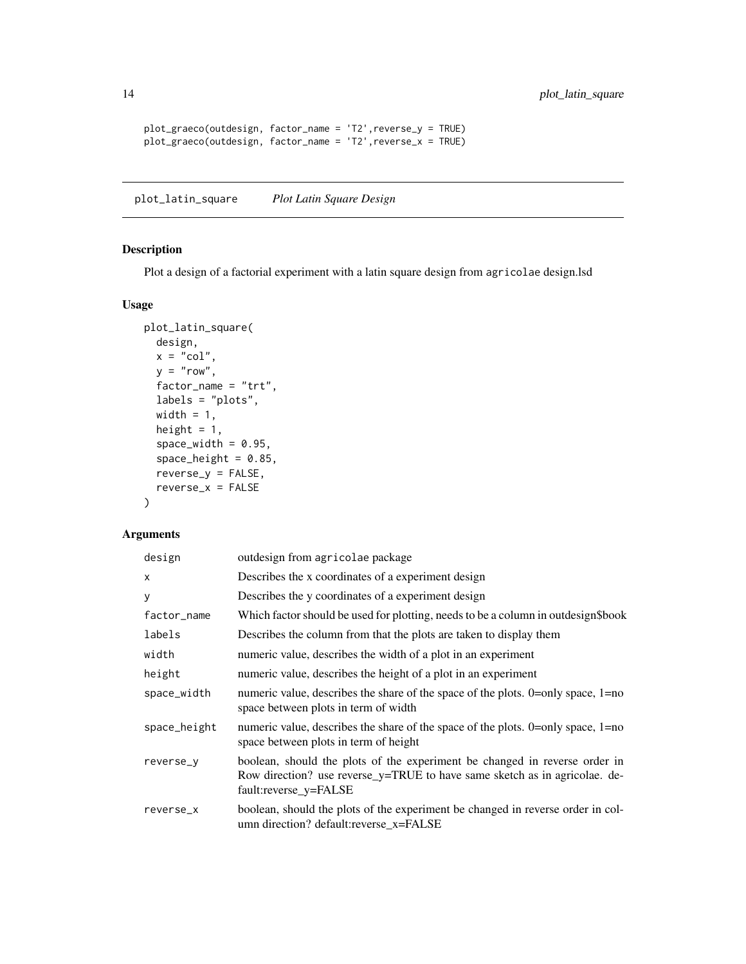```
plot_graeco(outdesign, factor_name = 'T2',reverse_y = TRUE)
plot_graeco(outdesign, factor_name = 'T2',reverse_x = TRUE)
```
plot\_latin\_square *Plot Latin Square Design*

#### Description

Plot a design of a factorial experiment with a latin square design from agricolae design.lsd

#### Usage

```
plot_latin_square(
 design,
 x = "col",y = "row",factor_name = "trt",
  labels = "plots",
 width = 1,
 height = 1,
  space\_width = 0.95,
  space_height = 0.85,
  reverse_y = FALSE,
  reverse_x = FALSE
\mathcal{L}
```

| design       | outdesign from agricolae package                                                                                                                                                  |
|--------------|-----------------------------------------------------------------------------------------------------------------------------------------------------------------------------------|
| X            | Describes the x coordinates of a experiment design                                                                                                                                |
| y            | Describes the y coordinates of a experiment design                                                                                                                                |
| factor_name  | Which factor should be used for plotting, needs to be a column in outdesign\$book                                                                                                 |
| labels       | Describes the column from that the plots are taken to display them                                                                                                                |
| width        | numeric value, describes the width of a plot in an experiment                                                                                                                     |
| height       | numeric value, describes the height of a plot in an experiment                                                                                                                    |
| space_width  | numeric value, describes the share of the space of the plots. 0=only space, 1=no<br>space between plots in term of width                                                          |
| space_height | numeric value, describes the share of the space of the plots. 0=only space, 1=no<br>space between plots in term of height                                                         |
| reverse_y    | boolean, should the plots of the experiment be changed in reverse order in<br>Row direction? use reverse_y=TRUE to have same sketch as in agricolae. de-<br>fault:reverse_y=FALSE |
| reverse_x    | boolean, should the plots of the experiment be changed in reverse order in col-<br>umn direction? default: reverse x=FALSE                                                        |

<span id="page-13-0"></span>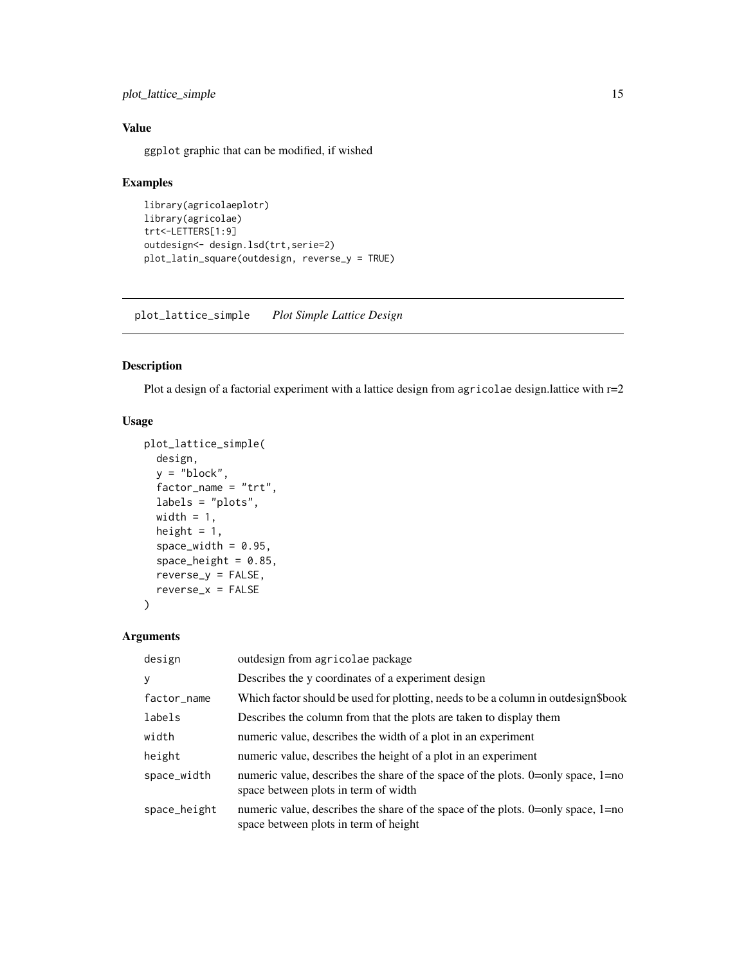<span id="page-14-0"></span>plot\_lattice\_simple 15

# Value

ggplot graphic that can be modified, if wished

### Examples

```
library(agricolaeplotr)
library(agricolae)
trt<-LETTERS[1:9]
outdesign<- design.lsd(trt,serie=2)
plot_latin_square(outdesign, reverse_y = TRUE)
```
plot\_lattice\_simple *Plot Simple Lattice Design*

#### Description

Plot a design of a factorial experiment with a lattice design from agricolae design. lattice with  $r=2$ 

# Usage

```
plot_lattice_simple(
  design,
  y = "block",
  factor_name = "trt",labels = "plots",
 width = 1,
  height = 1,
  space\_width = 0.95,
  space\_height = 0.85,
  reverse_y = FALSE,
  reverse_x = FALSE
\lambda
```

| design       | outdesign from agricolae package                                                                                                |
|--------------|---------------------------------------------------------------------------------------------------------------------------------|
| y            | Describes the y coordinates of a experiment design                                                                              |
| factor_name  | Which factor should be used for plotting, needs to be a column in outdesign\$book                                               |
| labels       | Describes the column from that the plots are taken to display them                                                              |
| width        | numeric value, describes the width of a plot in an experiment                                                                   |
| height       | numeric value, describes the height of a plot in an experiment                                                                  |
| space_width  | numeric value, describes the share of the space of the plots. $0=$ only space, $1=$ no<br>space between plots in term of width  |
| space_height | numeric value, describes the share of the space of the plots. $0=$ only space, $1=$ no<br>space between plots in term of height |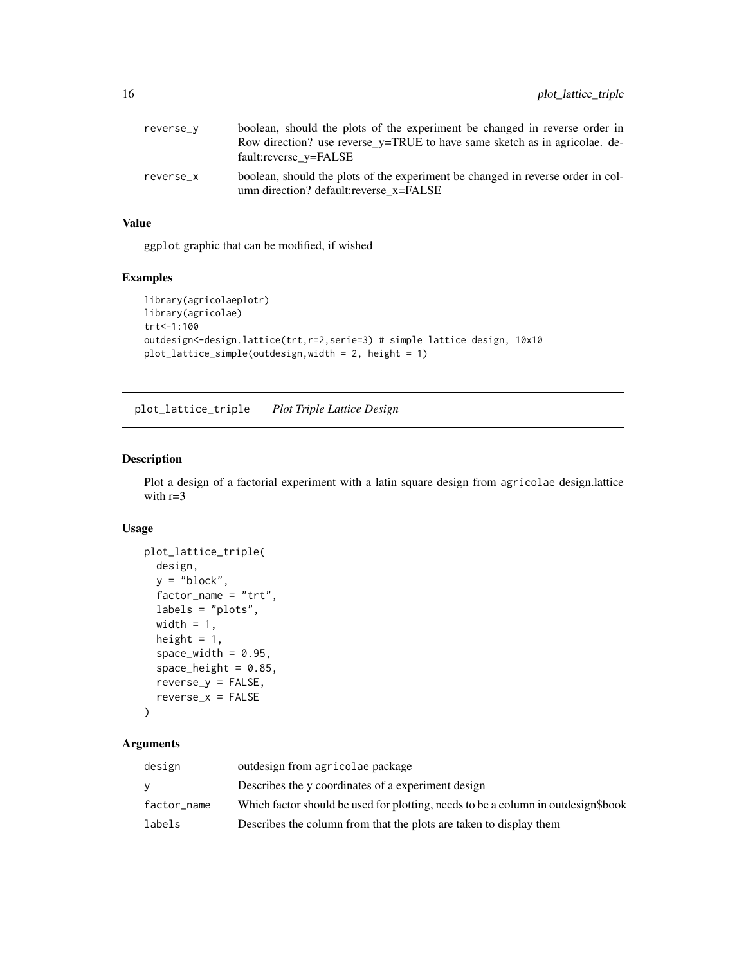<span id="page-15-0"></span>

| boolean, should the plots of the experiment be changed in reverse order in                                                 |
|----------------------------------------------------------------------------------------------------------------------------|
| Row direction? use reverse $v=TRUE$ to have same sketch as in agricolae. de-                                               |
| fault:reverse_y=FALSE                                                                                                      |
| boolean, should the plots of the experiment be changed in reverse order in col-<br>umn direction? default: reverse x=FALSE |
|                                                                                                                            |

ggplot graphic that can be modified, if wished

# Examples

```
library(agricolaeplotr)
library(agricolae)
trt<-1:100
outdesign<-design.lattice(trt,r=2,serie=3) # simple lattice design, 10x10
plot_lattice_simple(outdesign,width = 2, height = 1)
```
plot\_lattice\_triple *Plot Triple Lattice Design*

#### Description

Plot a design of a factorial experiment with a latin square design from agricolae design.lattice with r=3

#### Usage

```
plot_lattice_triple(
  design,
  y = "block",factor_name = "trt",
  labels = "plots",
 width = 1,
 height = 1,
  space\_width = 0.95,
  space\_height = 0.85,
  reverse_y = FALSE,
  reverse_x = FALSE
)
```

| design      | outdesign from agricolae package                                                  |
|-------------|-----------------------------------------------------------------------------------|
| v           | Describes the y coordinates of a experiment design                                |
| factor_name | Which factor should be used for plotting, needs to be a column in outdesign\$book |
| labels      | Describes the column from that the plots are taken to display them                |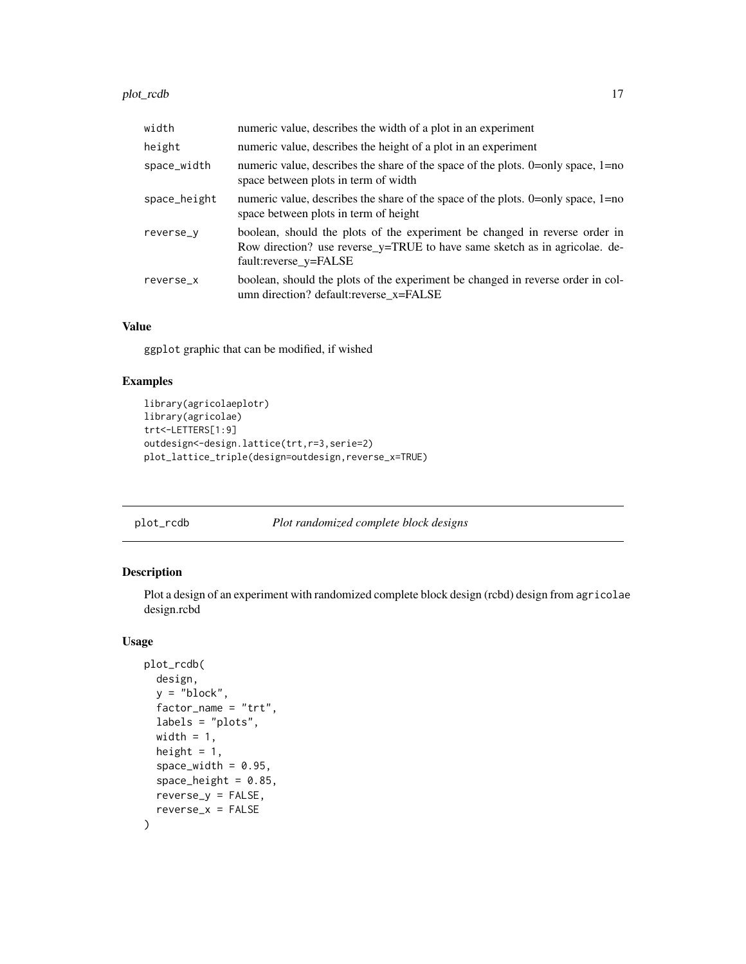<span id="page-16-0"></span>

| width        | numeric value, describes the width of a plot in an experiment                                                                                                                     |
|--------------|-----------------------------------------------------------------------------------------------------------------------------------------------------------------------------------|
| height       | numeric value, describes the height of a plot in an experiment                                                                                                                    |
| space_width  | numeric value, describes the share of the space of the plots. 0=only space, 1=no<br>space between plots in term of width                                                          |
| space_height | numeric value, describes the share of the space of the plots. 0=only space, 1=no<br>space between plots in term of height                                                         |
| reverse_v    | boolean, should the plots of the experiment be changed in reverse order in<br>Row direction? use reverse_y=TRUE to have same sketch as in agricolae. de-<br>fault:reverse_y=FALSE |
| reverse_x    | boolean, should the plots of the experiment be changed in reverse order in col-<br>umn direction? default:reverse_x=FALSE                                                         |

ggplot graphic that can be modified, if wished

# Examples

```
library(agricolaeplotr)
library(agricolae)
trt<-LETTERS[1:9]
outdesign<-design.lattice(trt,r=3,serie=2)
plot_lattice_triple(design=outdesign,reverse_x=TRUE)
```
plot\_rcdb *Plot randomized complete block designs*

# Description

Plot a design of an experiment with randomized complete block design (rcbd) design from agricolae design.rcbd

### Usage

```
plot_rcdb(
  design,
 y = "block",
  factor_name = "trt",
  labels = "plots",
  width = 1,
  height = 1,
  space\_width = 0.95,
  space\_height = 0.85,
  reverse_y = FALSE,
  reverse_x = FALSE\mathcal{E}
```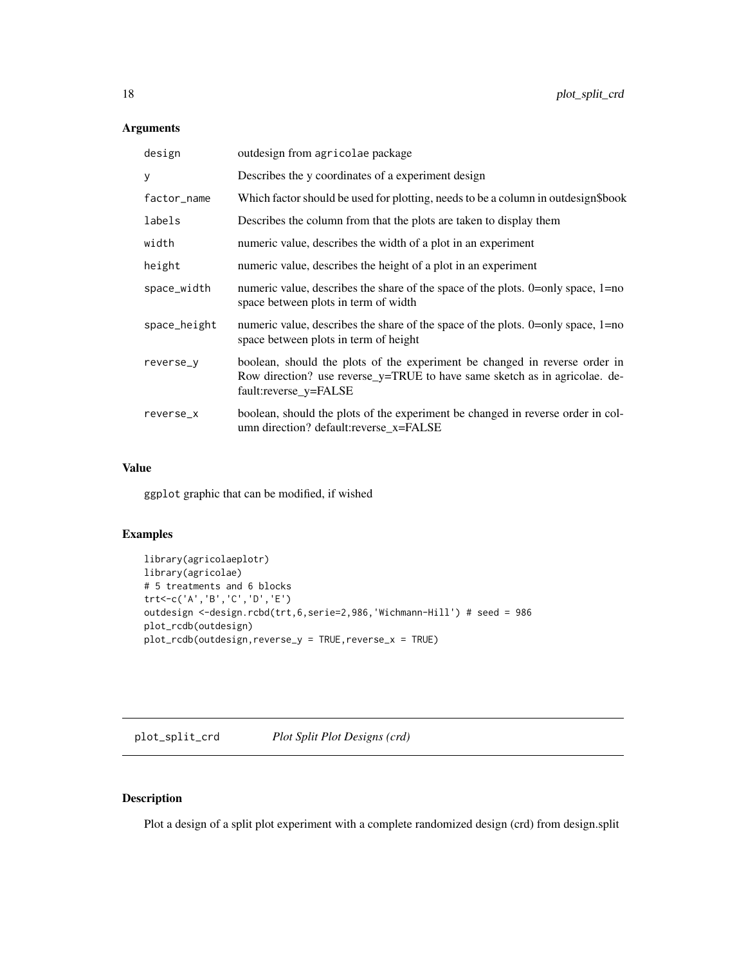# <span id="page-17-0"></span>Arguments

| design       | outdesign from agricolae package                                                                                                                                                  |
|--------------|-----------------------------------------------------------------------------------------------------------------------------------------------------------------------------------|
| У            | Describes the y coordinates of a experiment design                                                                                                                                |
| factor_name  | Which factor should be used for plotting, needs to be a column in outdesign\$book                                                                                                 |
| labels       | Describes the column from that the plots are taken to display them                                                                                                                |
| width        | numeric value, describes the width of a plot in an experiment                                                                                                                     |
| height       | numeric value, describes the height of a plot in an experiment                                                                                                                    |
| space_width  | numeric value, describes the share of the space of the plots. 0=only space, 1=no<br>space between plots in term of width                                                          |
| space_height | numeric value, describes the share of the space of the plots. 0=only space, 1=no<br>space between plots in term of height                                                         |
| reverse_y    | boolean, should the plots of the experiment be changed in reverse order in<br>Row direction? use reverse_y=TRUE to have same sketch as in agricolae. de-<br>fault:reverse_y=FALSE |
| reverse_x    | boolean, should the plots of the experiment be changed in reverse order in col-<br>umn direction? default:reverse_x=FALSE                                                         |

#### Value

ggplot graphic that can be modified, if wished

# Examples

```
library(agricolaeplotr)
library(agricolae)
# 5 treatments and 6 blocks
trt<-c('A','B','C','D','E')
outdesign <-design.rcbd(trt,6,serie=2,986,'Wichmann-Hill') # seed = 986
plot_rcdb(outdesign)
plot_rcdb(outdesign,reverse_y = TRUE,reverse_x = TRUE)
```
plot\_split\_crd *Plot Split Plot Designs (crd)*

# Description

Plot a design of a split plot experiment with a complete randomized design (crd) from design.split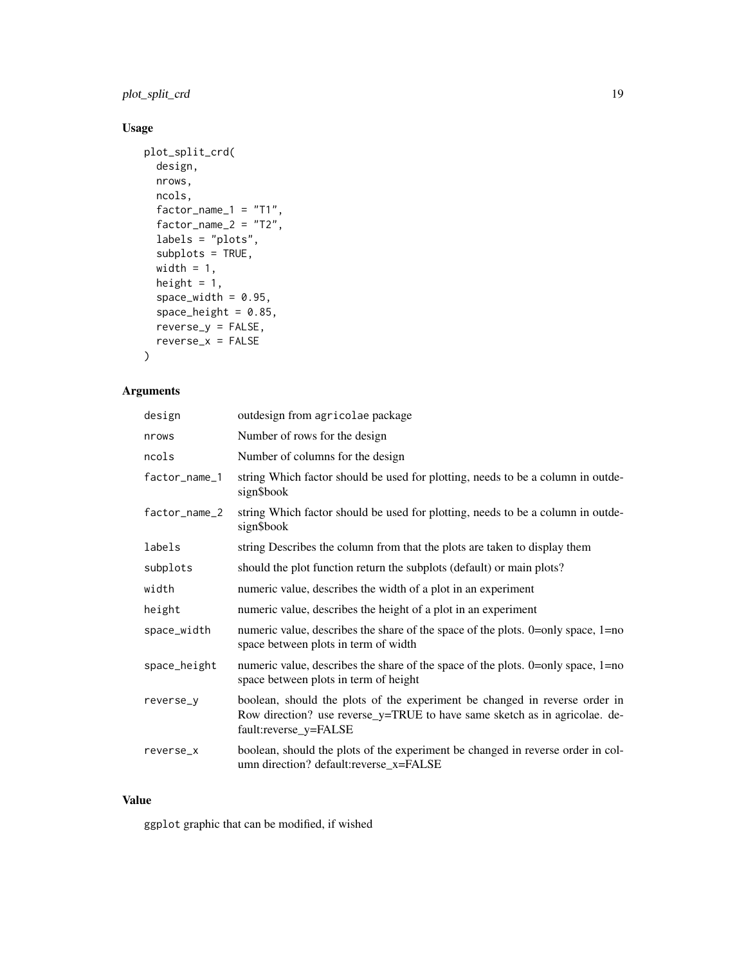# plot\_split\_crd 19

# Usage

```
plot_split_crd(
  design,
  nrows,
  ncols,
  factor_name_1 = "T1",factor_name_2 = "T2",labels = "plots",
  subplots = TRUE,
  width = 1,
  height = 1,
  space\_width = 0.95,
  space_height = 0.85,
  reverse_y = FALSE,
  reverse_x = FALSE
\mathcal{L}
```
# Arguments

| design        | outdesign from agricolae package                                                                                                                                                  |
|---------------|-----------------------------------------------------------------------------------------------------------------------------------------------------------------------------------|
| nrows         | Number of rows for the design                                                                                                                                                     |
| ncols         | Number of columns for the design                                                                                                                                                  |
| factor_name_1 | string Which factor should be used for plotting, needs to be a column in outde-<br>sign\$book                                                                                     |
| factor_name_2 | string Which factor should be used for plotting, needs to be a column in outde-<br>sign\$book                                                                                     |
| labels        | string Describes the column from that the plots are taken to display them                                                                                                         |
| subplots      | should the plot function return the subplots (default) or main plots?                                                                                                             |
| width         | numeric value, describes the width of a plot in an experiment                                                                                                                     |
| height        | numeric value, describes the height of a plot in an experiment                                                                                                                    |
| space_width   | numeric value, describes the share of the space of the plots. 0=only space, 1=no<br>space between plots in term of width                                                          |
| space_height  | numeric value, describes the share of the space of the plots. 0=only space, 1=no<br>space between plots in term of height                                                         |
| reverse_y     | boolean, should the plots of the experiment be changed in reverse order in<br>Row direction? use reverse_y=TRUE to have same sketch as in agricolae. de-<br>fault:reverse_y=FALSE |
| reverse_x     | boolean, should the plots of the experiment be changed in reverse order in col-<br>umn direction? default:reverse_x=FALSE                                                         |

#### Value

ggplot graphic that can be modified, if wished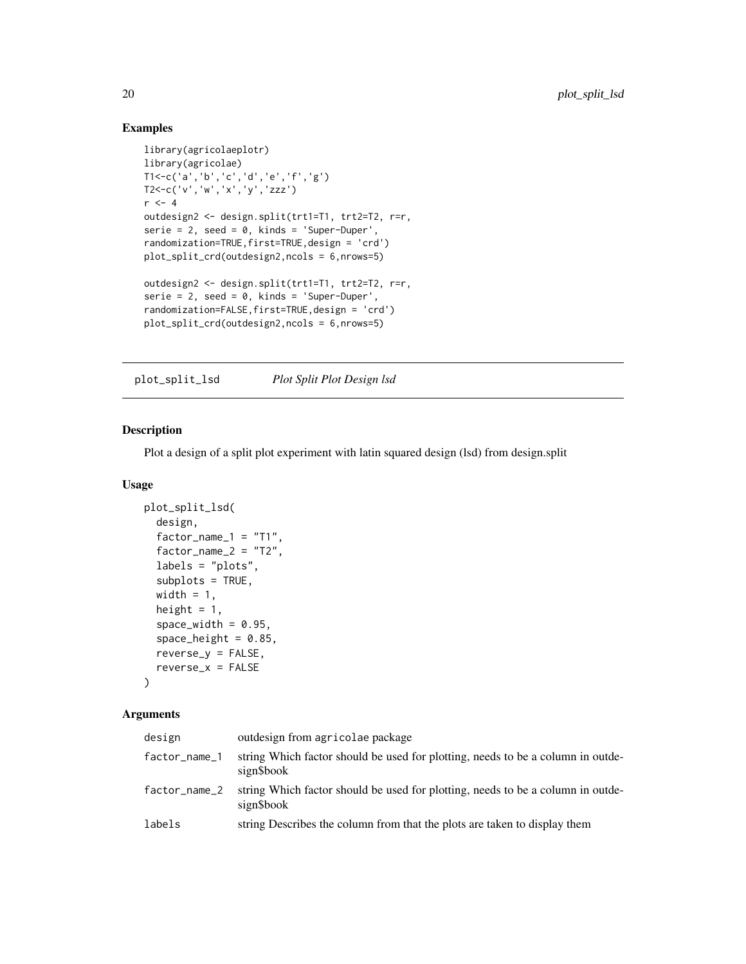# Examples

```
library(agricolaeplotr)
library(agricolae)
T1<-c('a','b','c','d','e','f','g')
T2<-c('v','w','x','y','zzz')
r < -4outdesign2 <- design.split(trt1=T1, trt2=T2, r=r,
serie = 2, seed = 0, kinds = 'Super-Duper',
randomization=TRUE,first=TRUE,design = 'crd')
plot_split_crd(outdesign2,ncols = 6,nrows=5)
outdesign2 <- design.split(trt1=T1, trt2=T2, r=r,
series = 2, seed = 0, kinds = 'Super-Duper',randomization=FALSE,first=TRUE,design = 'crd')
plot_split_crd(outdesign2,ncols = 6,nrows=5)
```
plot\_split\_lsd *Plot Split Plot Design lsd*

# Description

Plot a design of a split plot experiment with latin squared design (lsd) from design.split

#### Usage

```
plot_split_lsd(
  design,
  factor_name_1 = "T1",factor_name_2 = "T2",labels = "plots",
  subplots = TRUE,width = 1,
  height = 1,
  space\_width = 0.95,
  space\_height = 0.85,
  reverse_y = FALSE,
  reverse_x = FALSE
```
# )

| design        | outdesign from agricolae package                                                              |
|---------------|-----------------------------------------------------------------------------------------------|
| factor_name_1 | string Which factor should be used for plotting, needs to be a column in outde-<br>sign\$book |
| factor_name_2 | string Which factor should be used for plotting, needs to be a column in outde-<br>sign\$book |
| labels        | string Describes the column from that the plots are taken to display them                     |

<span id="page-19-0"></span>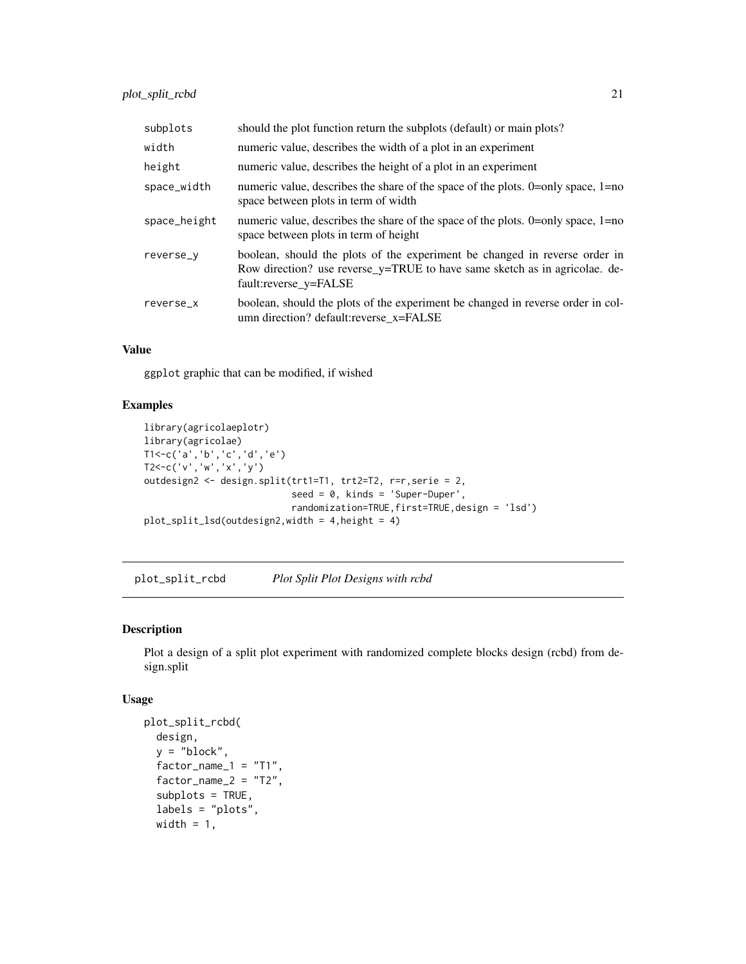<span id="page-20-0"></span>

| subplots     | should the plot function return the subplots (default) or main plots?                                                                                                             |
|--------------|-----------------------------------------------------------------------------------------------------------------------------------------------------------------------------------|
| width        | numeric value, describes the width of a plot in an experiment                                                                                                                     |
| height       | numeric value, describes the height of a plot in an experiment                                                                                                                    |
| space_width  | numeric value, describes the share of the space of the plots. 0=only space, 1=no<br>space between plots in term of width                                                          |
| space_height | numeric value, describes the share of the space of the plots. $0=$ only space, $1=$ no<br>space between plots in term of height                                                   |
| reverse_y    | boolean, should the plots of the experiment be changed in reverse order in<br>Row direction? use reverse_y=TRUE to have same sketch as in agricolae. de-<br>fault:reverse_y=FALSE |
| reverse_x    | boolean, should the plots of the experiment be changed in reverse order in col-<br>umn direction? default:reverse_x=FALSE                                                         |

ggplot graphic that can be modified, if wished

# Examples

```
library(agricolaeplotr)
library(agricolae)
T1<-c('a','b','c','d','e')
T2<-c('v','w','x','y')
outdesign2 <- design.split(trt1=T1, trt2=T2, r=r,serie = 2,
                           seed = 0, kinds = 'Super-Duper',
                           randomization=TRUE,first=TRUE,design = 'lsd')
plot_split_lsd(outdesign2,width = 4,height = 4)
```
plot\_split\_rcbd *Plot Split Plot Designs with rcbd*

# Description

Plot a design of a split plot experiment with randomized complete blocks design (rcbd) from design.split

#### Usage

```
plot_split_rcbd(
 design,
  y = "block",factor_name_1 = "T1",factor_name_2 = "T2",subplots = TRUE,
  labels = "plots",
 width = 1,
```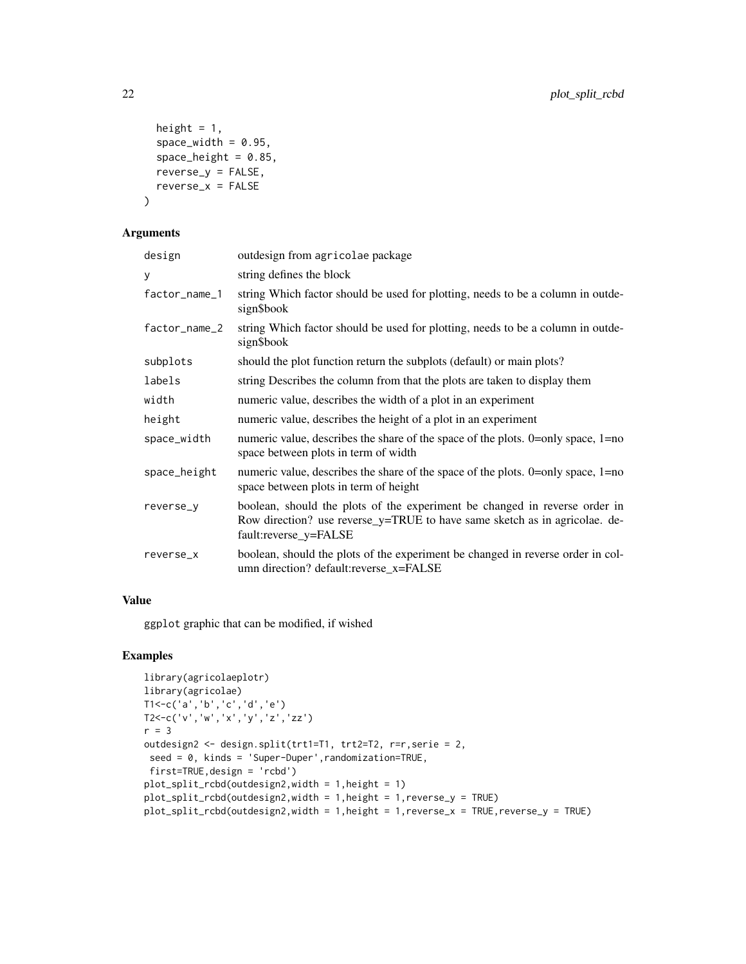```
height = 1,
  space\_width = 0.95,
  space\_height = 0.85,
  reverse_y = FALSE,
 reverse_x = FALSE
\mathcal{L}
```
#### Arguments

| design        | outdesign from agricolae package                                                                                                                                                  |
|---------------|-----------------------------------------------------------------------------------------------------------------------------------------------------------------------------------|
| y             | string defines the block                                                                                                                                                          |
| factor_name_1 | string Which factor should be used for plotting, needs to be a column in outde-<br>sign\$book                                                                                     |
| factor_name_2 | string Which factor should be used for plotting, needs to be a column in outde-<br>sign\$book                                                                                     |
| subplots      | should the plot function return the subplots (default) or main plots?                                                                                                             |
| labels        | string Describes the column from that the plots are taken to display them                                                                                                         |
| width         | numeric value, describes the width of a plot in an experiment                                                                                                                     |
| height        | numeric value, describes the height of a plot in an experiment                                                                                                                    |
| space_width   | numeric value, describes the share of the space of the plots. 0=only space, 1=no<br>space between plots in term of width                                                          |
| space_height  | numeric value, describes the share of the space of the plots. 0=only space, 1=no<br>space between plots in term of height                                                         |
| reverse_y     | boolean, should the plots of the experiment be changed in reverse order in<br>Row direction? use reverse_y=TRUE to have same sketch as in agricolae. de-<br>fault:reverse_y=FALSE |
| reverse_x     | boolean, should the plots of the experiment be changed in reverse order in col-<br>umn direction? default:reverse_x=FALSE                                                         |
|               |                                                                                                                                                                                   |

# Value

ggplot graphic that can be modified, if wished

```
library(agricolaeplotr)
library(agricolae)
T1<-c('a','b','c','d','e')
T2<-c('v','w','x','y','z','zz')
r = 3
outdesign2 <- design.split(trt1=T1, trt2=T2, r=r,serie = 2,
 seed = 0, kinds = 'Super-Duper',randomization=TRUE,
 first=TRUE,design = 'rcbd')
plot_split_rcbd(outdesign2,width = 1,height = 1)
plot_split_rcbd(outdesign2,width = 1,height = 1,reverse_y = TRUE)
plot_split_rcbd(outdesign2,width = 1,height = 1,reverse_x = TRUE,reverse_y = TRUE)
```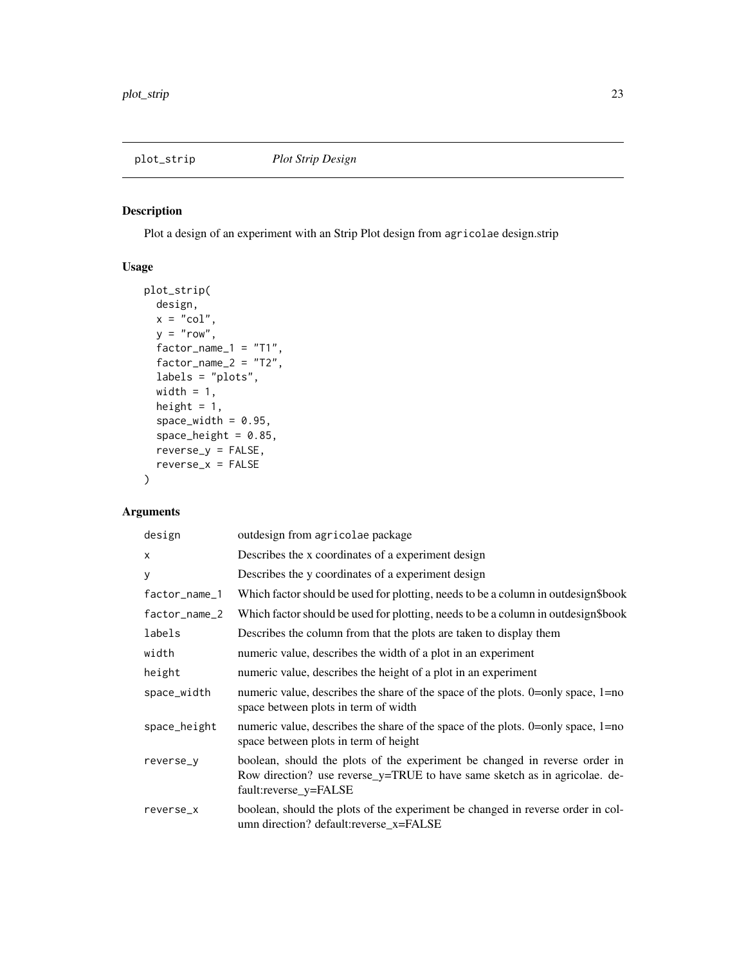<span id="page-22-0"></span>

# Description

Plot a design of an experiment with an Strip Plot design from agricolae design.strip

# Usage

```
plot_strip(
 design,
 x = "col",y = "row",factor_name_1 = "T1",factor_name_2 = "T2",labels = "plots",
 width = 1,
 height = 1,
 space_width = 0.95,
  space\_height = 0.85,
 reverse_y = FALSE,
 reverse_x = FALSE
)
```

| design        | outdesign from agricolae package                                                                                                                                                  |
|---------------|-----------------------------------------------------------------------------------------------------------------------------------------------------------------------------------|
| X             | Describes the x coordinates of a experiment design                                                                                                                                |
| У             | Describes the y coordinates of a experiment design                                                                                                                                |
| factor_name_1 | Which factor should be used for plotting, needs to be a column in outdesign\$book                                                                                                 |
| factor_name_2 | Which factor should be used for plotting, needs to be a column in outdesign\$book                                                                                                 |
| labels        | Describes the column from that the plots are taken to display them                                                                                                                |
| width         | numeric value, describes the width of a plot in an experiment                                                                                                                     |
| height        | numeric value, describes the height of a plot in an experiment                                                                                                                    |
| space_width   | numeric value, describes the share of the space of the plots. 0=only space, 1=no<br>space between plots in term of width                                                          |
| space_height  | numeric value, describes the share of the space of the plots. 0=only space, 1=no<br>space between plots in term of height                                                         |
| reverse_y     | boolean, should the plots of the experiment be changed in reverse order in<br>Row direction? use reverse_y=TRUE to have same sketch as in agricolae. de-<br>fault:reverse_y=FALSE |
| reverse_x     | boolean, should the plots of the experiment be changed in reverse order in col-<br>umn direction? default: reverse x=FALSE                                                        |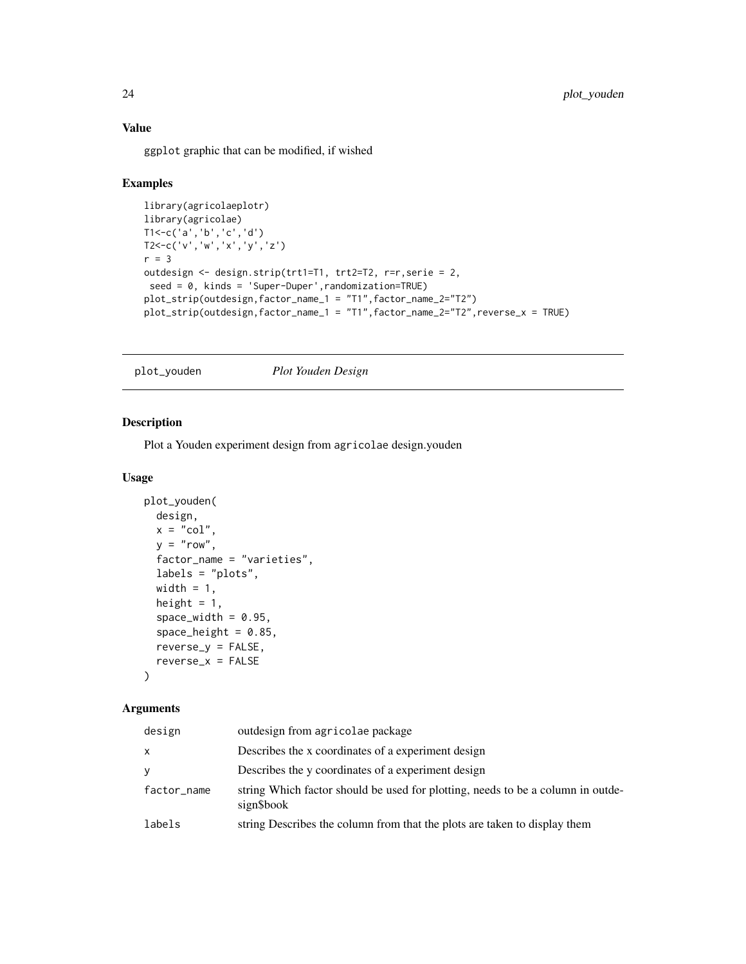ggplot graphic that can be modified, if wished

#### Examples

```
library(agricolaeplotr)
library(agricolae)
T1<-c('a','b','c','d')
T2<-c('v','w','x','y','z')
r = 3outdesign <- design.strip(trt1=T1, trt2=T2, r=r,serie = 2,
seed = 0, kinds = 'Super-Duper',randomization=TRUE)
plot_strip(outdesign,factor_name_1 = "T1",factor_name_2="T2")
plot_strip(outdesign,factor_name_1 = "T1",factor_name_2="T2",reverse_x = TRUE)
```
plot\_youden *Plot Youden Design*

# Description

Plot a Youden experiment design from agricolae design.youden

#### Usage

```
plot_youden(
  design,
  x = "col",y = "row",factor_name = "varieties",
  labels = "plots",
 width = 1,
 height = 1,
  space\_width = 0.95,
  space\_height = 0.85,
 reverse_y = FALSE,
  reverse_x = FALSE
)
```

| design      | outdesign from agricolae package                                                              |  |
|-------------|-----------------------------------------------------------------------------------------------|--|
| x           | Describes the x coordinates of a experiment design                                            |  |
| V           | Describes the y coordinates of a experiment design                                            |  |
| factor_name | string Which factor should be used for plotting, needs to be a column in outde-<br>sign\$book |  |
| labels      | string Describes the column from that the plots are taken to display them                     |  |

<span id="page-23-0"></span>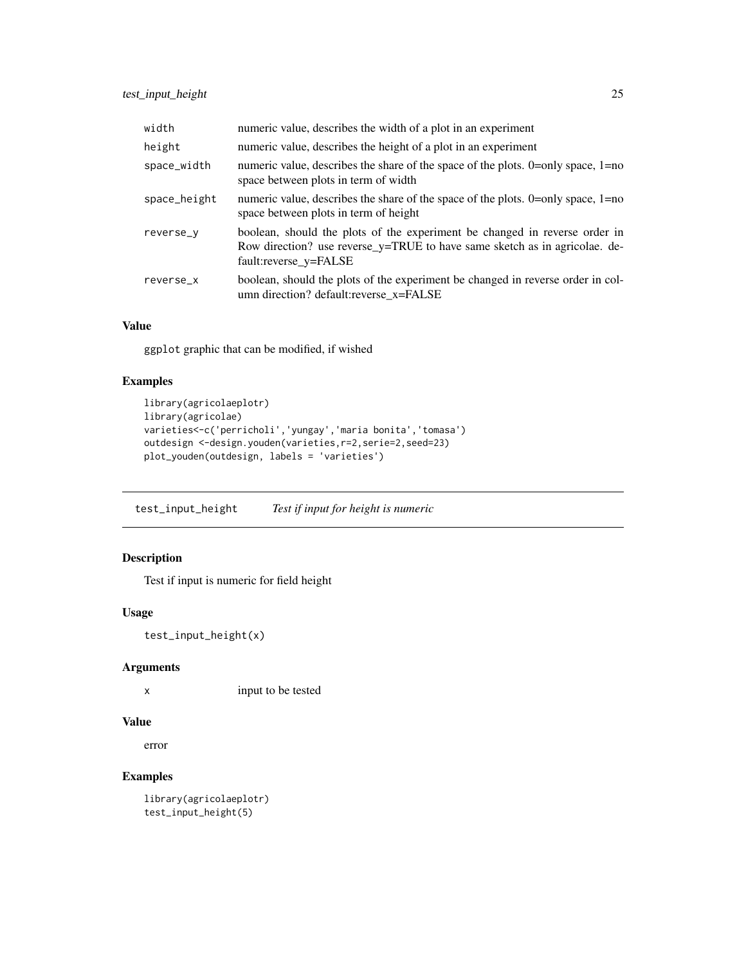<span id="page-24-0"></span>

| width        | numeric value, describes the width of a plot in an experiment                                                                                                                     |
|--------------|-----------------------------------------------------------------------------------------------------------------------------------------------------------------------------------|
| height       | numeric value, describes the height of a plot in an experiment                                                                                                                    |
| space_width  | numeric value, describes the share of the space of the plots. $0=$ only space, $1=$ no<br>space between plots in term of width                                                    |
| space_height | numeric value, describes the share of the space of the plots. 0=only space, 1=no<br>space between plots in term of height                                                         |
| reverse_v    | boolean, should the plots of the experiment be changed in reverse order in<br>Row direction? use reverse_y=TRUE to have same sketch as in agricolae. de-<br>fault:reverse_y=FALSE |
| reverse_x    | boolean, should the plots of the experiment be changed in reverse order in col-<br>umn direction? default:reverse_x=FALSE                                                         |

ggplot graphic that can be modified, if wished

# Examples

```
library(agricolaeplotr)
library(agricolae)
varieties<-c('perricholi','yungay','maria bonita','tomasa')
outdesign <-design.youden(varieties,r=2,serie=2,seed=23)
plot_youden(outdesign, labels = 'varieties')
```
test\_input\_height *Test if input for height is numeric*

# Description

Test if input is numeric for field height

#### Usage

```
test_input_height(x)
```
#### Arguments

x input to be tested

#### Value

error

```
library(agricolaeplotr)
test_input_height(5)
```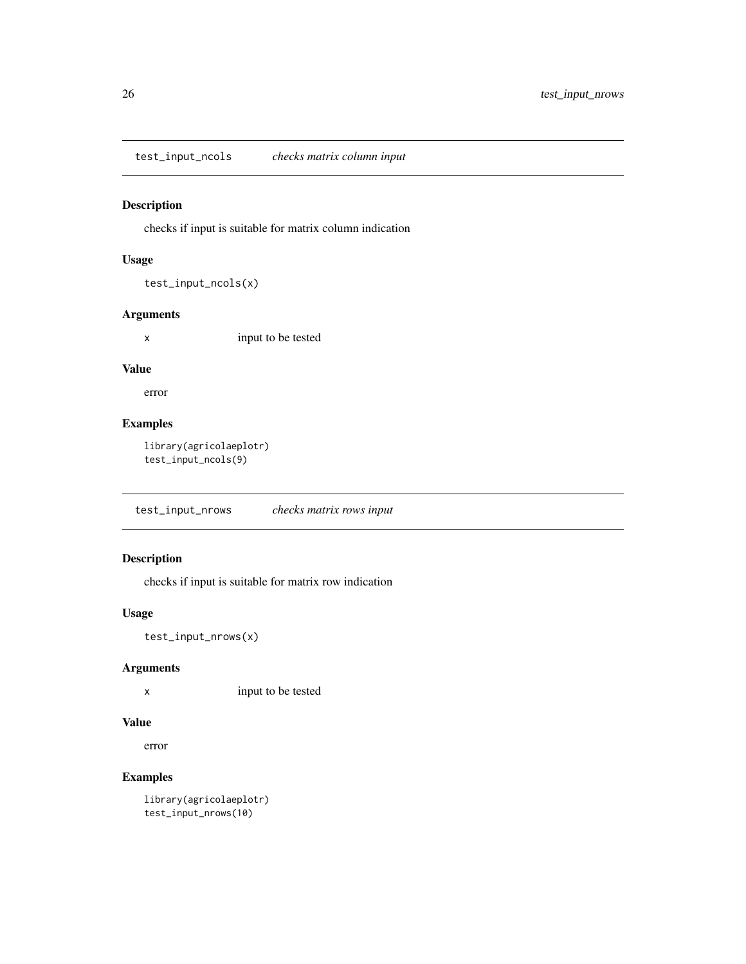<span id="page-25-0"></span>test\_input\_ncols *checks matrix column input*

#### Description

checks if input is suitable for matrix column indication

# Usage

```
test_input_ncols(x)
```
# Arguments

x input to be tested

#### Value

error

# Examples

```
library(agricolaeplotr)
test_input_ncols(9)
```
test\_input\_nrows *checks matrix rows input*

# Description

checks if input is suitable for matrix row indication

#### Usage

```
test_input_nrows(x)
```
#### Arguments

x input to be tested

#### Value

error

# Examples

library(agricolaeplotr) test\_input\_nrows(10)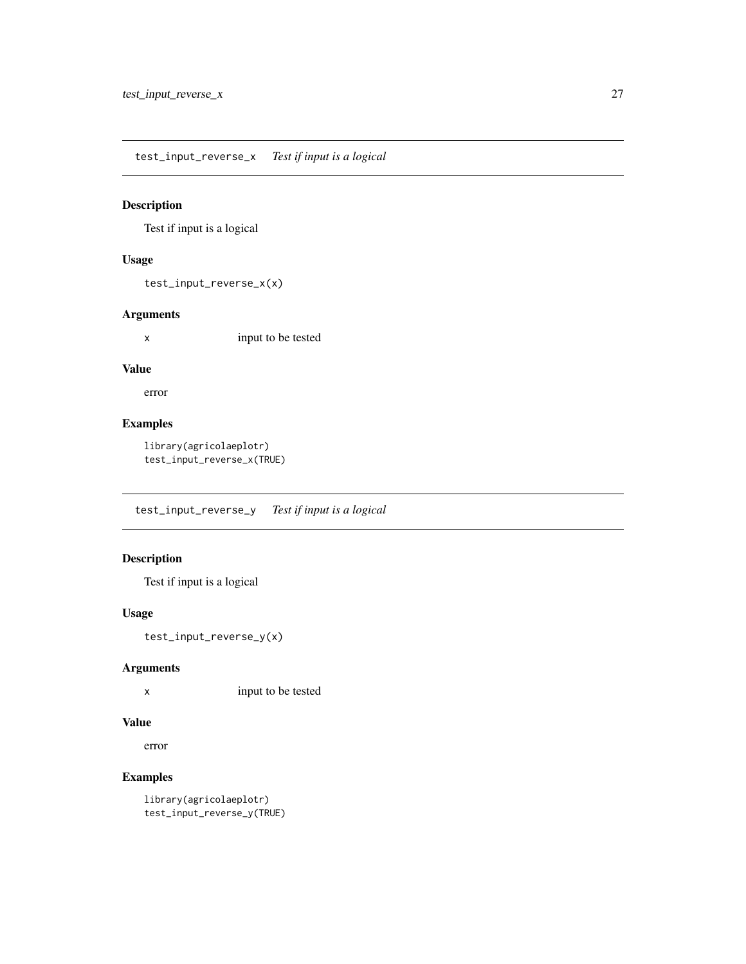<span id="page-26-0"></span>test\_input\_reverse\_x *Test if input is a logical*

# Description

Test if input is a logical

# Usage

test\_input\_reverse\_x(x)

# Arguments

x input to be tested

#### Value

error

# Examples

library(agricolaeplotr) test\_input\_reverse\_x(TRUE)

test\_input\_reverse\_y *Test if input is a logical*

# Description

Test if input is a logical

#### Usage

test\_input\_reverse\_y(x)

#### Arguments

x input to be tested

#### Value

error

# Examples

library(agricolaeplotr) test\_input\_reverse\_y(TRUE)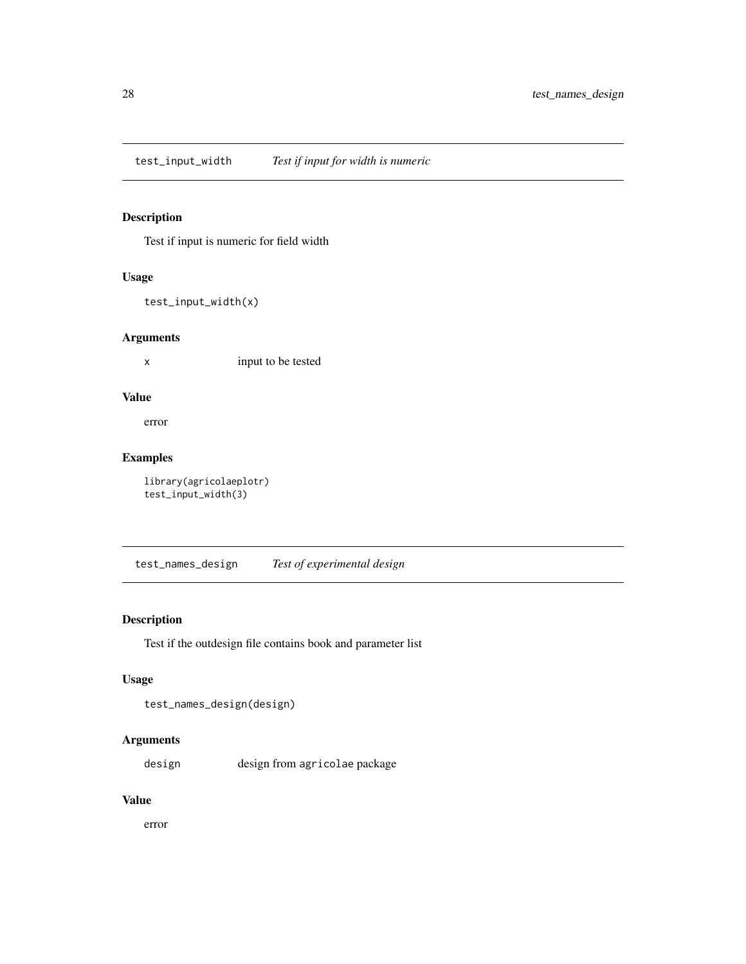<span id="page-27-0"></span>test\_input\_width *Test if input for width is numeric*

# Description

Test if input is numeric for field width

# Usage

test\_input\_width(x)

# Arguments

x input to be tested

# Value

error

# Examples

library(agricolaeplotr) test\_input\_width(3)

test\_names\_design *Test of experimental design*

# Description

Test if the outdesign file contains book and parameter list

# Usage

test\_names\_design(design)

# Arguments

design design from agricolae package

#### Value

error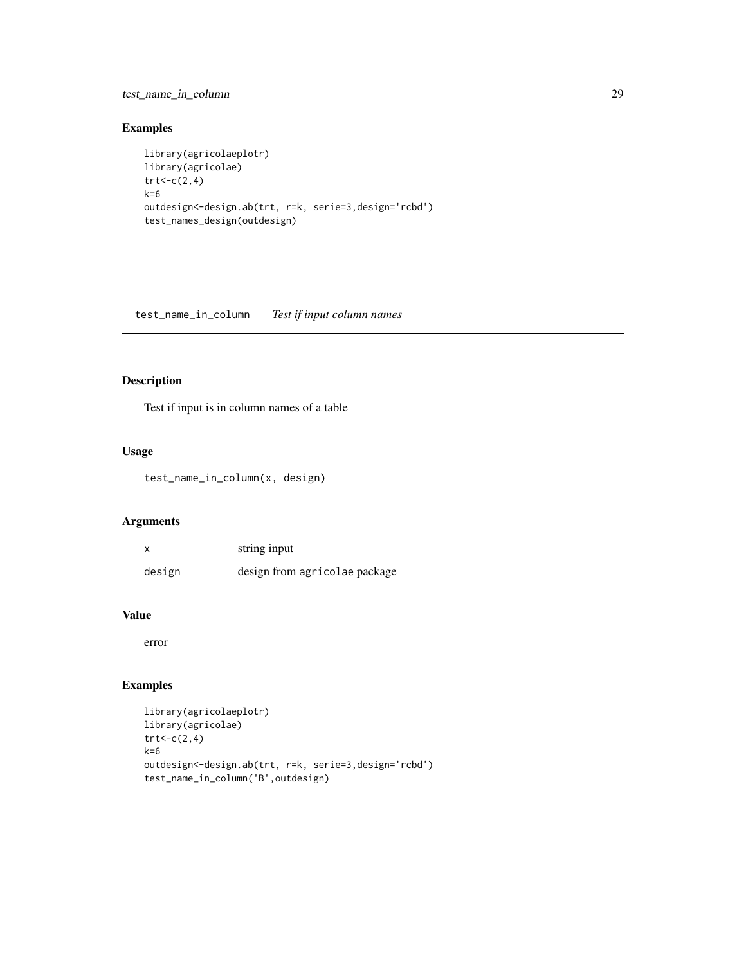# <span id="page-28-0"></span>test\_name\_in\_column 29

# Examples

```
library(agricolaeplotr)
library(agricolae)
trt<-c(2,4)k=6
outdesign<-design.ab(trt, r=k, serie=3,design='rcbd')
test_names_design(outdesign)
```
test\_name\_in\_column *Test if input column names*

# Description

Test if input is in column names of a table

#### Usage

test\_name\_in\_column(x, design)

# Arguments

|        | string input                  |
|--------|-------------------------------|
| design | design from agricolae package |

#### Value

error

```
library(agricolaeplotr)
library(agricolae)
trt<-c(2,4)k=6outdesign<-design.ab(trt, r=k, serie=3,design='rcbd')
test_name_in_column('B',outdesign)
```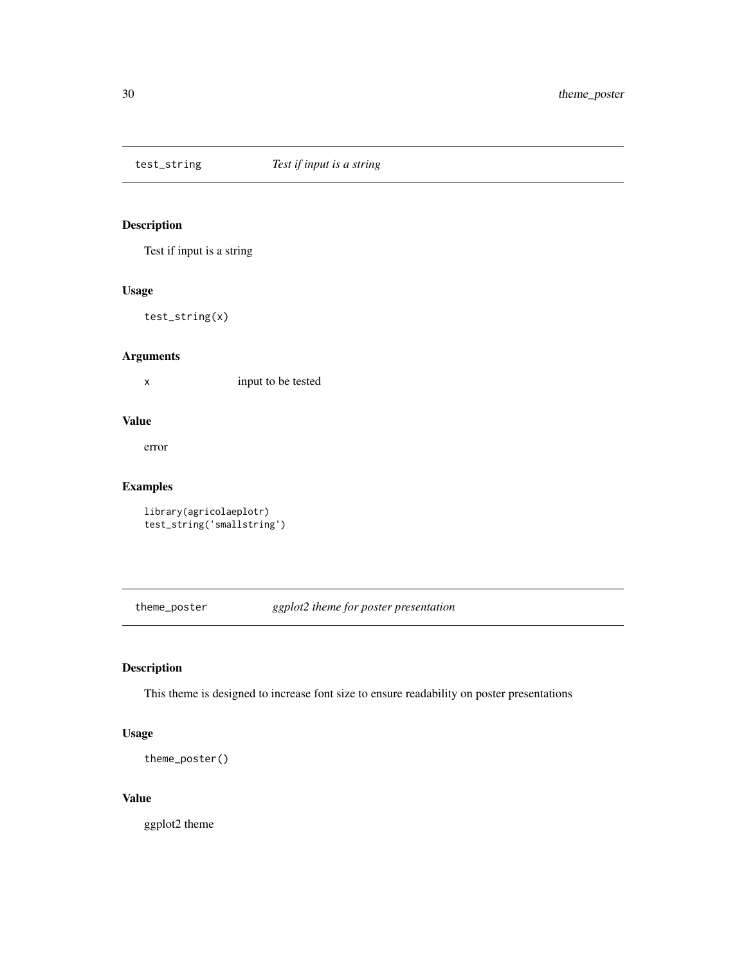<span id="page-29-0"></span>

# Description

Test if input is a string

#### Usage

test\_string(x)

# Arguments

x input to be tested

# Value

error

# Examples

```
library(agricolaeplotr)
test_string('smallstring')
```
theme\_poster *ggplot2 theme for poster presentation*

# Description

This theme is designed to increase font size to ensure readability on poster presentations

# Usage

```
theme_poster()
```
# Value

ggplot2 theme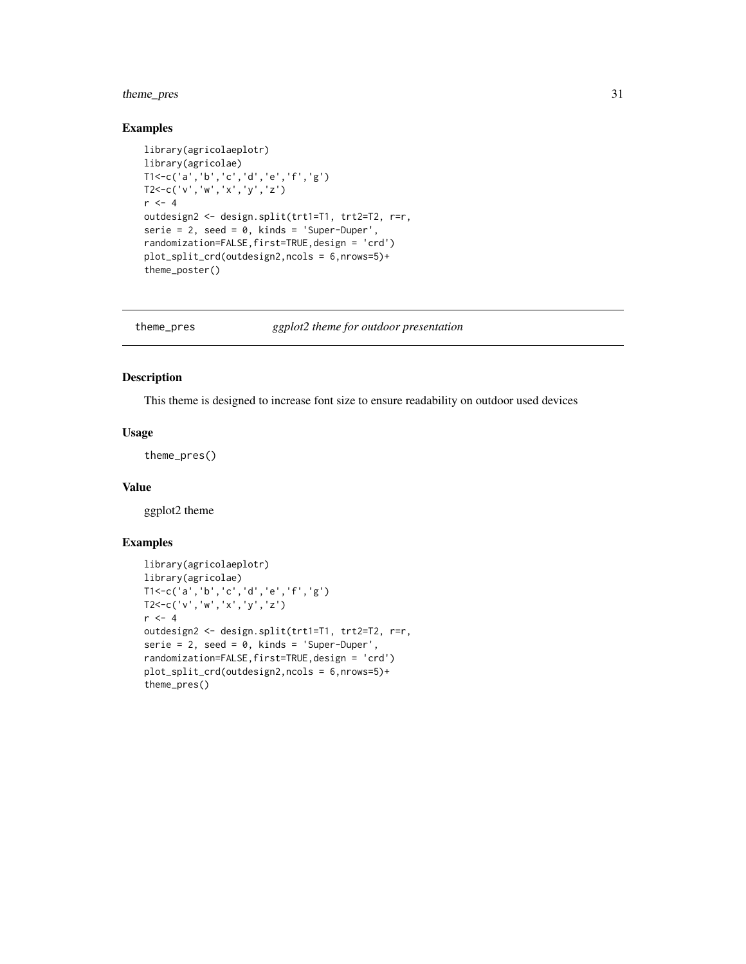# <span id="page-30-0"></span>theme\_pres 31

# Examples

```
library(agricolaeplotr)
library(agricolae)
T1<-c('a','b','c','d','e','f','g')
T2<-c('v','w','x','y','z')
r < -4outdesign2 <- design.split(trt1=T1, trt2=T2, r=r,
serie = 2, seed = 0, kinds = 'Super-Duper',
randomization=FALSE,first=TRUE,design = 'crd')
plot_split_crd(outdesign2,ncols = 6,nrows=5)+
theme_poster()
```
theme\_pres *ggplot2 theme for outdoor presentation*

### Description

This theme is designed to increase font size to ensure readability on outdoor used devices

#### Usage

theme\_pres()

#### Value

ggplot2 theme

```
library(agricolaeplotr)
library(agricolae)
T1<-c('a','b','c','d','e','f','g')
T2<-c('v','w','x','y','z')
r <- 4
outdesign2 <- design.split(trt1=T1, trt2=T2, r=r,
serie = 2, seed = 0, kinds = 'Super-Duper',
randomization=FALSE,first=TRUE,design = 'crd')
plot_split_crd(outdesign2,ncols = 6,nrows=5)+
theme_pres()
```